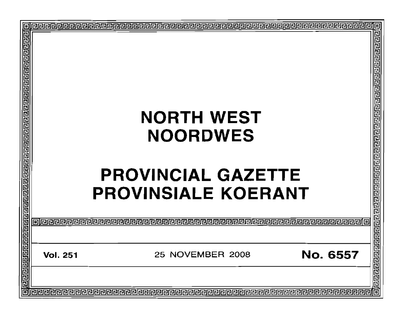|   |       |                 | <b>NORTH WEST</b>                                       |          |                                               |  |  |  |
|---|-------|-----------------|---------------------------------------------------------|----------|-----------------------------------------------|--|--|--|
|   |       |                 |                                                         |          |                                               |  |  |  |
|   |       |                 | <b>NOORDWES</b>                                         |          |                                               |  |  |  |
|   |       |                 | <b>PROVINCIAL GAZETTE</b><br><b>PROVINSIALE KOERANT</b> |          |                                               |  |  |  |
|   |       |                 |                                                         |          |                                               |  |  |  |
|   | ردرور |                 |                                                         |          |                                               |  |  |  |
|   |       | <b>Vol. 251</b> | 25 NOVEMBER 2008                                        | No. 6557 | <u>बांबनस्व बाह्य बाह्य बाह्य बाह्य बाह्य</u> |  |  |  |
|   |       |                 |                                                         |          |                                               |  |  |  |
| 同 |       |                 |                                                         |          |                                               |  |  |  |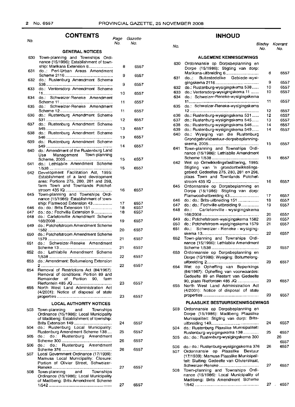#### Page Gazette No. No. 6557 6557 6557 6557 6557 6557 6557 6557 6557 6557 6557 6557 6557 6557 6557 6557 6557 6557 6557 6557 6557 6557 6557 6557 6557 6557 6557 6557 6557 6557 26 27 25 26 24 27 **CONTENTS GENERAL NOTICES** Town-planning and Townships Ordinance (15/1986): Establishment of township: Marikana Extension 6..................... 8 do..: Peri-Urban Areas Amendment Scheme 2116 9 do.: Rustenburg Amendment Scheme 538.......................................................... 9 do.: Ventersdorp Amendment Scheme 11............................................................. 10 do.: Schweizer-Reneke Amendment Scheme 11.............................................. 11 do.: Schweizer-Reneke Amendment Scheme 12 11 do.: Rustenburg Amendment Scheme 531 12 do.: Rustenburg Amendment Scheme 545.......................................................... 13 do.: Rustenburg Amendment Scheme 546.......................................................... 13 do.: Rustenburg Amendment Scheme 549.......................................................... 14 do.: Amendment of the Rustenburg Land Use Management Town-planning Scheme, 2005......................................... 15 do.: Lethlabile Amendment Scheme 1/538....................................................... 15 Development Facilitation Act, 1995: Establishment of a land development area: Portions 275, 280, 281 and 298, farm Town and Townlands Potchefstroorn 435 10 16 Town-planning and Townships Ordinance (15/1986): Establishment of township: Flamw.ood Extension 43................. 17 do.: do.: Brits Extension 151.................. do.: do.: Fochville Extension 9................ 18 do.: Carletonville Amendment Scheme 168/2008 19 do.: Potchefstroom Amendment Scheme 1582........................................................ 20 do.: Potchefstroom Amendment Scheme 1579........................................................ 21 do.: Schweizer-Reneke Amendment Scheme 13.............................................. 21 do.: Lethlabile Amendment Scheme 1/538....................................................... 22 do.: Amendment: Boitumelong Extension 2.............................................................. 22 Removal of Restrictions Act (84/1967): Removal' of conditions: Portion 89 and Remainder of Portion 90, farm Rietfontein 485 JO 23 North West Land Administration Act (4/2001): Notice of disposal of state properties.... 23 **LOCAL AUTHORITY NOTICES** Town-planning and Townships Ordinance (15/1986): Local Municipality of Madibeng: Establishment of township: Brits Extension 149 . do.: Rustenburg Local Municipality: Rustenburg Amendment Scheme 138 .... do.: do.: Rustenburg Amendment Scheme 300 . do.: do.: Rustenburg Amendment Scheme 376 . Local Government Ordinance (17/1939): Mamusa Local Municipality: Closure: Portion of Olivier Street, Schweizer-Reneke .. Town-planning Ordinance (15/1986): Local Municipality of Madibeng: Brits Amendment Scheme 1/542 . 641 640 637 642 639 649 635 645 646 647 648 634 638 633 650 636 630 632 No. 631 653 655 505 654 651 652 507 506 508 504 503

## **INHOUD**

#### 27 6557 27 6557 25 6557 26 6557 26 6557 24 6557 81adsy Koerant No. No. do.: do.: Rustenburg-wysigingskema 376 Ordonnansie op Plaaslike Bestuur (17/1939): Mamusa Plaaslike Munisipaliteit: Sluiting: Gedeelte van Olivierstraat, Schweizer-Reneke . Town-planning and Townships Ordinance (15/1986): Local Municipality of Madibeng: Brits Amendment Scheme 1/542 .. **ALGEMENE KENNISGEWINGS** Ordonnansie op Dorpsbeplanning en Dorpe (15/1986): Stigting van dorp: Marikana-uitbreiding 6............................. 8 6557 do..: Buitestedelike Gebiede-wysigingskema 2116.......... 9 6557 do.: Rustenburg-wysigingskema 538...... 10 6557 do.: Ventersdorp-wysigingskema 11 ....... 10 6557 do.: Schweizer-Reneke-wysigingskema 11............................................................. 11 6557 do.: Schweizer-Reneke-wysigingskema 12............................................................ 12 6557 do.: Rustenburg-wysigingskema 531...... 12 6557 do.: Rustenburg-wysigingskema 545...... 13 6557 do.: Rustenburg-wysigingskema 546...... 14 6557 do.: Rustenburg-wysigingskema 549...... 14 6557 do.: Wysiging van die Rustenburg Grondgebruikbestuur-dorpsbeplanningskerna, 2005............................................ 15 6557 Town-planning and Townships Ordinance (15/1986): Lethlabile Amendment Scheme 1/538 15 6557 Wet op Ontwikkelingsfasilitering, 1995: Stigting van 'n grondontwikkelingsgebied: Gedeeltes 275, 280, 281 en 298, plaas Town and Townlands Potchefstroom 435 10 16 6557 Ordonnansie op Dorpsbeplanning en Dorpe (15/1986): Stigting van dorp: Flamwood-uitbreiding 43...................... 17 6557 do.: do.: Brits-uitbreiding 151 18 6557 do.: do.: Fochville-uitbreiding 9............... 19 6557 Carletonville - wysigingskema 168/2008 20 6557 do.: Potchefstroom-wysigingskema 1582 20 6557 do.: Potchefstroom-wysigingskema 1579 21 6557 do.: Schweizer - Reneke - wysigingskema 13................................................. 22 6557 Town-planning and Townships Ordinance (15/1986): Lethlabile Amendment Scheme 1/538......................................... 22 6557 Ordonnansie op Dorpsbeplanning en Dorpe (15/1986): Wysiging: Boitumelonguitbreiding 2................... 23 6557 Wet op Opheffing van Beperkings (84/1967): Opheffing van voorwaardes: Gedeelte 89 en Restant van Gedeelte 90, plaas Rietfontein 485 JO 23 6557 North West Land Administration Act (4/2001): Notice of disposal of state properties 23 6557 **PLAASUKE BESTUURSKENNISGEWINGS** Ordonnansie op Dorpsbeplanning en Dorpe (15/1986): Madibeng Plaaslike Munisipaliteit: Stigting van dorp: Britsuitbreiding 149 . do.: Rustenburg Plaaslike Munisipaliteit: Rustenburg-wysigingskema 138 .. do.: do.: Rustenburg-wysigingskema 300 630 631 632 633 634 635 636 637 638 639 640 645 646 647 648 do.: 641 642 649 650 651 652 655 654 653 503 No. 508 506 507 505 504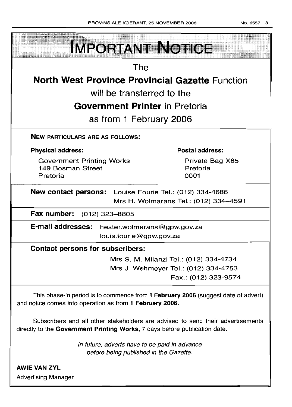| <b>IMPORTANT NOTICE</b>                                                                                                                                       |                                        |  |  |  |  |
|---------------------------------------------------------------------------------------------------------------------------------------------------------------|----------------------------------------|--|--|--|--|
| The                                                                                                                                                           |                                        |  |  |  |  |
| <b>North West Province Provincial Gazette Function</b>                                                                                                        |                                        |  |  |  |  |
| will be transferred to the                                                                                                                                    |                                        |  |  |  |  |
| <b>Government Printer in Pretoria</b>                                                                                                                         |                                        |  |  |  |  |
|                                                                                                                                                               |                                        |  |  |  |  |
| as from 1 February 2006                                                                                                                                       |                                        |  |  |  |  |
| <b>NEW PARTICULARS ARE AS FOLLOWS:</b>                                                                                                                        |                                        |  |  |  |  |
| <b>Physical address:</b>                                                                                                                                      | <b>Postal address:</b>                 |  |  |  |  |
| <b>Government Printing Works</b>                                                                                                                              | Private Bag X85                        |  |  |  |  |
| 149 Bosman Street<br>Pretoria                                                                                                                                 | Pretoria<br>0001                       |  |  |  |  |
|                                                                                                                                                               |                                        |  |  |  |  |
| <b>New contact persons:</b> Louise Fourie Tel.: (012) 334-4686                                                                                                |                                        |  |  |  |  |
|                                                                                                                                                               | Mrs H. Wolmarans Tel.: (012) 334-4591  |  |  |  |  |
| Fax number: (012) 323-8805                                                                                                                                    |                                        |  |  |  |  |
| <b>E-mail addresses:</b><br>hester.wolmarans@gpw.gov.za                                                                                                       |                                        |  |  |  |  |
| louis.fourie@gpw.gov.za                                                                                                                                       |                                        |  |  |  |  |
| <b>Contact persons for subscribers:</b>                                                                                                                       |                                        |  |  |  |  |
|                                                                                                                                                               | Mrs S. M. Milanzi Tel.: (012) 334-4734 |  |  |  |  |
|                                                                                                                                                               | Mrs J. Wehmeyer Tel.: (012) 334-4753   |  |  |  |  |
|                                                                                                                                                               | Fax.: (012) 323-9574                   |  |  |  |  |
| This phase-in period is to commence from 1 February 2006 (suggest date of advert)<br>and notice comes into operation as from 1 February 2006.                 |                                        |  |  |  |  |
| Subscribers and all other stakeholders are advised to send their advertisements<br>directly to the Government Printing Works, 7 days before publication date. |                                        |  |  |  |  |

In future, adverts have to be paid in advance before being published in the Gazette.

AWIE VAN ZYL Advertising Manager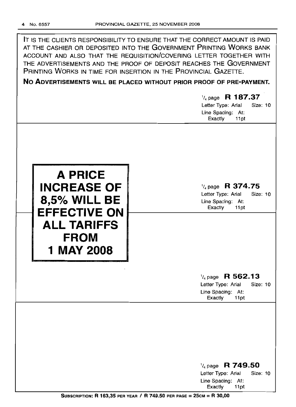| IT IS THE CLIENTS RESPONSIBILITY TO ENSURE THAT THE CORRECT AMOUNT IS PAID |
|----------------------------------------------------------------------------|
| AT THE CASHIER OR DEPOSITED INTO THE GOVERNMENT PRINTING WORKS BANK        |
| ACCOUNT AND ALSO THAT THE REQUISITION/COVERING LETTER TOGETHER WITH        |
| THE ADVERTISEMENTS AND THE PROOF OF DEPOSIT REACHES THE GOVERNMENT         |
| PRINTING WORKS IN TIME FOR INSERTION IN THE PROVINCIAL GAZETTE.            |

**No ADVERTISEMENTS WILL BE PLACED WITHOUT PRIOR PROOF OF PRE-PAYMENT.**

# *'/4* page **R 187.37** Letter Type: Arial Size: 10 Line Spacing: At: Exactly 11 pt



# *'/4* page **R 374.75**

Letter Type: Arial Size: 10 Line Spacing: At: Exactly 11 pt

# *'/4* page **R 562.13** Letter Type: Arial Size: 10

Line Spacing: At:<br>Exactly 11pt Exactly

| $\frac{1}{4}$ page R 749.50 |          |  |
|-----------------------------|----------|--|
| Letter Type: Arial          | Size: 10 |  |
| Line Spacing: At:           |          |  |
| Exactly 11pt                |          |  |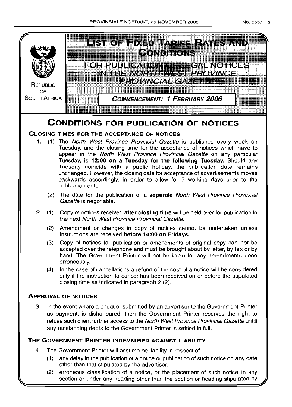

# **CONDITIONS FOR PUBLICATION OF NOTICES**

# **CLOSING TIMES FOR THE ACCEPTANCE OF NOTICES**

- 1. (1) The North West Province Provincial Gazette is published every week on Tuesday, and the closing time for the acceptance of notices which have to appear in the North West Province Provincial Gazette on any particular Tuesday, is **12:00 on a Tuesday for the following Tuesday.** Should any Tuesday coincide with a public holiday, the publication date remains unchanged. However, the closing date for acceptance of advertisements moves backwards accordingly, in order to allow for 7 working days prior to the publication date.
	- (2) The date for the publication of a **separate** North West Province Provincial Gazette is negotiable.
- 2. (1) Copy of notices received **after closing time** will be held over for publication in the next North West Province Provincial Gazette.
	- (2) Amendment or changes in copy of notices cannot be undertaken unless instructions are received **before 14:00 on Fridays.**
	- (3) Copy of notices for publication or amendments of original copy can not be accepted over the telephone and must be brought about by letter, by fax or by hand. The Government Printer will not be liable for any amendments done erroneously.
	- (4) In the case of cancellations a refund of the cost of a notice will be considered only if the instruction to cancel has been received on or before the stipulated closing time as indicated in paragraph 2 (2).

# **ApPROVAL OF NOTICES**

3. In the event where a cheque, submitted by an advertiser to the Government Printer as payment, is dishonoured, then the Government Printer reserves the right to refuse such client further access to the North West Province Provincial Gazette untill any outstanding debts to the Government Printer is settled in full.

# **THE GOVERNMENT PRINTER INDEMNIFIED AGAINST LIABILITY**

- 4. The Government Printer will assume no liability in respect of-
	- (1) any delay in the publication of a notice or publication of such notice on any date other than that stipulated by the advertiser;
	- (2) erroneous classification of a notice, or the placement of such notice in any section or under any heading other than the section or heading stipulated by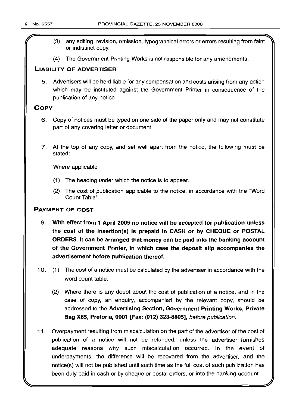- (3) any editing, revision, omission, typographical errors or errors resulting from faint or indistinct copy.
- (4) The Government Printing Works is not responsible for any amendments.

# **LIABILITY OF ADVERTISER**

5. Advertisers will be held liable for any compensation and costs arising from any action which may be instituted against the Government Printer in consequence of the publication of any notice.

## **COpy**

- 6. Copy of notices must be typed on one side of the paper only and may not constitute part of any covering letter or document.
- 7. At the top of any copy, and set well apart from the notice, the following must be stated:

Where applicable

- (1) The heading under which the notice is to appear.
- (2) The cost of publication applicable to the notice, in accordance with the "Word Count Table".

# **PAYMENT OF COST**

- 9. **With effect from 1 April 2005 no notice will be accepted for publication unless ttie cost of the insertion(s) is prepaid in CASH or by CHEQUE or POSTAL ORDERS. It can be arranged that money can be paid into the banking account of the Government Printer, in which case the deposit slip accompanies the advertisement before publication thereof.**
- 10. (1) The cost of a notice must be calculated by the advertiser in accordance with the word count table.
	- (2) Where there is any doubt about the cost of publication of a notice, and in the case of copy, an enquiry, accompanied by the relevant copy, should be addressed to the **Advertising Section, Government Printing Works, Private Bag X85, Pretoria, 0001 [Fax: (012) 323-8805],** before publication.
- **11**. Overpayment resulting from miscalculation on the part of the advertiser of the cost of publication of a notice will not be refunded, unless the advertiser furnishes adequate reasons why such miscalculation occurred. In the event of underpayments, the difference will be recovered from the advertiser, and the notice(s) will not be published until such time as the full cost of such publication has been duly paid in cash or by cheque or postal orders, or into the banking account.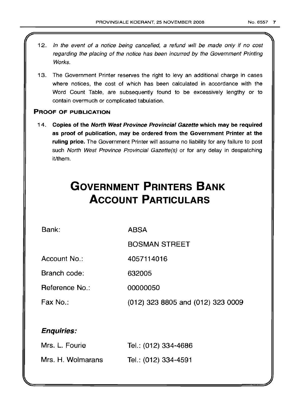- 12. In the event of a notice being cancelled, a refund will be made only if no cost regarding the placing of the notice has been incurred by the Government Printing Works.
- 13. The Government Printer reserves the right to levy an additional charge in cases where notices, the cost of which has been calculated in accordance with the Word Count Table, are subsequently found to be excessively lengthy or to contain overmuch or complicated tabulation.

# PROOF OF PUBLICATION

14. Copies of the North West Province Provincial Gazette which may be required as proof of publication, may be ordered from the Government Printer at the ruling price. The Government Printer will assume no liability for any failure to post such North West Province Provincial Gazette(s) or for any delay in despatching it/them.

# **GOVERNMENT PRINTERS BANK ACCOUNT PARTICULARS**

Bank:

ABSA

BOSMAN STREET

Account No.: 4057114016

Branch code: 632005

Reference No.: 00000050

Fax No.: (012) 323 8805 and (012) 323 0009

# Enquiries:

| Mrs. L. Fourie    | Tel.: (012) 334-4686 |
|-------------------|----------------------|
| Mrs. H. Wolmarans | Tel.: (012) 334-4591 |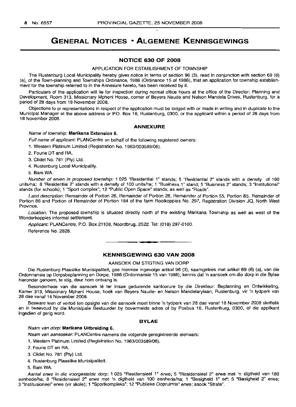# **GENERAL NOTICES • ALGEMENE KENNISGEWINGS**

#### **NOTICE 630 OF 2008**

#### APPLICATION FOR ESTABLISHMENT OF TOWNSHIP

The Rustenburg Local Municipality hereby gives notice in terms of section 96 (3), read in conjunction with section 69 (6) (a), of the Town-planning and Townships Ordinance, 1986 (Ordinance 15 of 1986), that an application for township establishment for the township referred to in the Annexure hereto, has been received by it.

Particulars of the application will lie for inspection during normal office hours at the office of the Director: Planning and Development, Room 313, Missionary Mpheni House, corner of Beyers Naude and Nelson Mandela Drives, Rustenburg, for a period of 28 days from 18 November 2008.

Objections to or representations in respect of the application must be lodged with or made in writing and in duplicate to the Municipal Manager at the above address or P.O. Box 16, Rustenburg, 0300, or the applicant within a period of 28 days from 18 November 2008.

#### **ANNEXURE**

#### Name of township: **Marikana Extension** 6.

Full name of applicant: PLANCentre on behalf of the following registered owners:

1. Western Platinum Limited (Registration No. 1963/003589/06).

2. Fourie DT and RA.

3. Clidet No. 781 (Pty) Ltd.

4. Rustenburg Local Municipality.

5. Bam WA.

Number of erven in proposed township: 1 025 "Residential 1" stands; 5 "Residential 2" stands with a density of 180 units/ha; 8 "Residential 2" stands with a density of 100 units/ha; 1 "Business 1" stand; 5 "Business 2" stands; 3 "Institutional" stands (for schools); 1 "Sport complex"; 12 "Public Open Space" stands; as well as "Roads".

Land description: Remainder of Portion 26, Remainder of Portion 28, Remainder of Portion 55, Portion 85, Remainder of Portion 86 and Portion of Remainder of Portion 184 of the farm Rooikoppies No. 297, Registration Division JQ, North West Province.

Location: The proposed township is situated directly north of the existing Marikana Township as well as west of the Wonderkoppies informal settlement.

Applicant: PLANCentre, P.O. Box 21108, Noordbrug, 2522. Tel: (018) 297-0100. Reference No. 2828.

## **KENNISGEWING 630 VAN 2008**

**• •**

AANSOEK OM STIGTING VAN DORP

Die Rustenburg Plaaslike Munisipaliteit, gee hiermee ingevolge artikel 96 (3), saamgelees met artikel 69 (6) (a), van die Ordonnansie op Dorpsbeplanning en Dorpe, 1986 (Ordonnansie 15 van 1986), kennis dat 'n aansoek om die dorp in die Bylae hieronder genoem, te stig, deur hom ontvang is.

Besonderhede van die aansoek lê ter insae gedurende kantoorure by die Direkteur: Beplanning en Ontwikkeling, Kamer 313, Missionary Mpheni House, hoek van Beyers Naude- en Nelson Mandelarylaan, Rustenburg, vir 'n tydperk van 28 dae vanaf 18 November 2008.

Besware teen of vertoë ten opsigte van die aansoek moet binne 'n tydperk van 28 dae vanaf 18 November 2008 skriftelik en in tweevoud by die Munisipale Bestuurder by bovermelde adres of by Posbus 16, Rustenburg, 0300, of die applikant ingedien of gerig word.

#### **BYLAE**

#### Naam van dorp: **Marikana Uitbreiding** 6.

Naam van aansoeker: PLANCentre namens die volgende geregistreerde eienaars:

1. Western Platinum Limited (Registration No. 1963/003589/06).

2. Fourie DT en RA.

3. Clidet No. 781 (pty) Ltd.

4. Rustenburg Plaaslike Munisipaliteit.

5. Bam WA.

Aantal erwe in die voorgestelde dorp: 1 025 "Residensieel 1" erwe; 5 "Residensieel 2" erwe met 'n digtheid van 180 eenhede/ha; 8 "Residensieel 2" erwe met 'n digtheid van 100 eenhede/ha; 1 "Besigheid 1" ert; 5 "Besigheid 2" erwe; 3 "lnsntusioneer' erwe (vir skole); 1 "Sportkompleks"; 12 "Publieke Oopruimte" erwe; asook "Strate".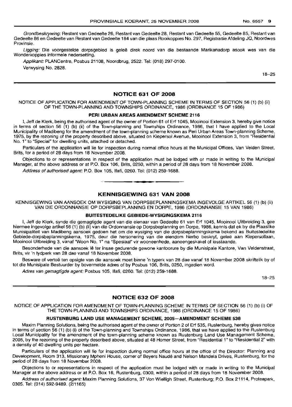Grondbeskrywing: Restant van Gedeelte 26, Restant van Gedeelte 28, Restant van Gedeelte 55, Gedeelte 85, Restant van Gedeelte 86 en Gedeelte van Restant van Gedeelte 184 van die plaas Rooikoppies No. 297, Registrasie Afdeling JQ, Noordwes Provinsie.

Ligging: Die voorgestelde dorpsgebied is geleë direk noord van die bestaande Marikanadorp asook wes van die Wonderkoppies informele nedersetting.

Applikant: PLANCentre, Posbus 21108, Noordbrug, 2522. Tel: (018) 297-0100. Verwysing No. 2828.

18-25

#### NOTICE 631 OF 2008

NOTICE OF APPLICATION FOR AMENDMENT OF TOWN-PLANNING SCHEME IN TERMS OF SECTION 56 (1) (b) (ii) OF THE TOWN-PLANNING AND TOWNSHIPS ORDINANCE, 1986 (ORDINANCE 15 OF 1986)

#### PERI URBAN AREAS AMENDMENT SCHEME 2116

I, Jeff de Klerk, being the authorised agent of the owner of Portion 61 of Erf 1045, Mooinooi Extension 3, hereby give notice in terms of section 56 (1) (b) (ii) of the Town-planning and Townships Ordinance, 1986, that I have applied to the Local Municipality of Madibeng for the amendment of the town-planning scheme known as Peri Urban Areas Town-planning Scheme, 1975, by the rezoning of the property described above, situated on Kiepersol Avenue, Mooinooi Extension 3, from "Residential No.1" to "Special" for dwelling units, attached or detached.

Particulars of the application will lie for inspection during normal office hours at the Municipal Offices, Van Velden Street, Brits, for a period of 28 days from 18 November 2008.

Objections to or representations in respect of the application must be lodged with or made in writing to the Municipal Manager, at the above address or at P.O. Box 106, Brits, 0250, within a period of 28 days from 18 November 2008.

Address of authorised agent: P.O. Box 105, Ifafi, 0260. Tel: (012) 259-1688.

## KENNISGEWING 631 VAN 2008

**•**

KENNISGEWING VAN AANSOEK OM WYSIGING VAN DORPSBEPLANNINGSKEMA INGEVOLGE ARTIKEL 56 (1) (b) (ii) VAN DIE ORDONNANSIE OP DORPSBEPLANNING EN DORPE, 1986 (ORDONNANSIE 15 VAN 1986)

#### BUITESTEDELIKE GEBIEDE-WYSIGINGSKEMA 2116

I, Jeff de Klerk, synde die gemagtigde agent van die eienaar van Gedeelte 61 van Erf 1045, Mooinooi Uitbreiding 3, gee hiermee ingevolge artikel 56 (1) (b) (ii) van die Ordonnansie op Dorpsbeplanning en Dorpe, 1986, kennis dat ek by die Plaaslike Munisipaliteit van Madibeng aansoek gedoen het om die wysiging van die dorpsbeplanningskema bekend as Buitestedelike Gebiede-dorpsbeplanningskema, 1975, deur die hersonering van die eiendom hierbo beskryf, gelee aan Kiepersollaan, Mooinooi Uitbreiding 3, vanaf "Woon No.1" na "Spesiaal" vir wooneenhede, aaneengeskakel of losstaande.

Besonderhede van die aansoek lê ter insae gedurende gewone kantoorure by die Munisipale Kantore, Van Veldenstraat, Brits, vir 'n tydperk van 28 dae vanaf 18 November 2008.

Besware of vertoë ten opsigte van die aansoek moet binne 'n typerk van 28 dae vanaf 18 November 2008 skriftelik by of tot die Munisipale Bestuurder by bovermelde adres of by Posbus 106, Brits, 0250, ingedien word.

Adres van gemagtigde agent: Posbus 105, Ifafi, 0260. Tel: (012) 259-1688.

18-25

## NOTICE 632 OF 2008

NOTICE OF APPLICATION FOR AMENDMENT OF TOWN-PLANNING SCHEME IN TERMS OF SECTION 56 (1) (b) (i) OF THE TOWN-PLANNING AND TOWNSHIPS ORDINANCE, 1986 (ORDINANCE 15 OF 1986)

#### RUSTENBURG LAND USE MANAGEMENT SCHEME, 2005-AMENDMENT SCHEME 538

Maxim Planning Solutions, being the authorised agent of the owner of Portion 2 of Erf 535, Rustenburg, hereby gives notice in terms of section 56 (1) (b) (i) of the Town-planning and Townships Ordinance, 1986, that we have applied to the Rustenburg Local Municipality for the amendment of the town-planning scheme known as Rustenburg Land Use Management Scheme, 2005, by the rezoning of the property described above, situated at 48 Homer Street, from "Residential 1" to "Residential 2" with a density of 40 dwelling units per hectare.

Particulars of the application will lie for inspection during normal office hours at the office of the Director: Planning and Development, Room 313, Missionary Mpheni House, corner of Beyers Naude and Nelson Mandela Drives, Rustenburg, for the period of 28 days from 18 November 2008.

Objections to or representations in respect of the application must be lodged with or made in writing to the Municipal Manager at the above address or at P.O. Box 16, Rustenburg, 0300, within a period of 28 days from 18 November 2008.

Address of authorised agent: Maxim Planning Solutions, 37 Von Wielligh Street, Rustenburg; P.O. Box 21114, Proteapark, 0305. Tel: (014) 592-9489. (2/1165)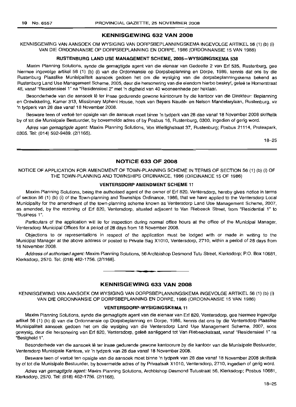#### **KENNISGEWING 632 VAN 2008**

KENNISGEWING VAN AANSOEK OM WYSIGING VAN DORPSBEPLANNINGSKEMA INGEVOLGE ARTIKEL 56 (1) (b) (i) VAN DIE ORDONNANSIE OP DORPSBEPLANNING EN DORPE, 1986 (ORDONNANSIE 15 VAN 1986)

#### **RUSTENBURG LAND USE MANAGEMENT SCHEME, 2005-WYSIGINGSKEMA 538**

Maxim Planning Solutions, synde die gemagtigde agent van die eienaar van Gedeelte 2 van Erf 535, Rustenburg, gee hiermee ingevolge artikel 56 (1) (b) (i) van die Ordonnansie op Dorpsbeplanning en Dorpe, 1986, kennis dat ons by die Rustenburg Plaaslike Munisipaliteit aansoek gedoen het om die wysiging van die dorpsbeplanningskema bekend as Rustenburg Land Use Management Scheme, 2005, deur die hersonering van die eiendom hierbo beskryf, gelee te Homerstraat 48, vanaf "Residensieel 1" na "Residensieel 2" met 'n digtheid van 40 wooneenhede per hektaar.

Besonderhede van die aansoek lê ter insae gedurende gewone kantoorure by die kantoor van die Direkteur: Beplanning en Ontwikkeling, Kamer 313, Missionary Mpheni House, hoek van Beyers Naude- en Nelson Mandelarylaan, Rustenburg, vir 'n tydperk van 28 dae vanaf 18 November 2008.

Besware teen of vertoe ten opsigte van die aansoek moet binne 'n tydperk van 28 dae vanaf 18 November 2008 skriftelik by of tot die Munisipale Bestuurder, by bovermelde adres of by Posbus 16, Rustenburg, 0300, ingedien of gerig word.

Adres van gemagtigde agent: Maxim Planning Solutions, Von Wiellighstraat 37, Rustenburg; Posbus 21114, Proteapark, 0305. Tel: (014) 592-9489. (2/1165).

18-25

#### **NOTICE 633 OF 2008**

NOTICE OF APPLICATION FOR AMENDMENT OF TOWN-PLANNING SCHEME IN TERMS OF SECTION 56 (1) (b) (i) OF THE TOWN-PLANNING AND TOWNSHIPS ORDINANCE, 1986 (ORDINANCE 15 OF 1986)

#### **VENTERSDORP AMENDMENT SCHEME** 11

Maxim Planning Solutions, being the authorised agent of the owner of Erf 820, Ventersdorp, hereby gives notice in terms of section 56 (1) (b) (i) of the Town-planning and Townships Ordinance, 1986, that we have applied to the Ventersdorp Local Municipality for the amendment of the town-planning scheme known as Ventersdorp Land Use Management Scheme, 2007, as amended, by the rezoning of Erf 820, Ventersdorp, situated adjacent to Van Riebeeck Street, from "Residential 1" to "Business 1".

Particulars of the application will lie for inspection during normal office hours at the office of the Municipal Manager, Ventersdorp Municipal Offices for a period of 28 days from 18 November 2008.

Objections to or representations in respect of the application must be lodged with or made in writing to the Municipal Manager at the above address or posted to Private Bag X1010, Ventersdorp, 2710, within a period of 28 days from 18 November 2008.

Address of authorised agent: Maxim Planning Solutions, 56 Archbishop Desmond Tutu Street, Klerksdorp; P.O. Box 10681, Klerksdorp, 2570. Tel: (018) 462-1756. (2/1168). .**- .**

#### **KENNISGEWING 633 VAN 2008**

KENNISGEWING VAN AANSOEK OM WYSIGING VAN DORPSBEPLANNINGSKEMA INGEVOLGE ARTIKEL 56 (1) (b) (i) VAN DIE ORDONNANSIE OP DORPSBEPLANNING EN DORPE, 1986 (ORDONNANSIE 15 VAN 1986)

#### **VENTERSDORP-WYSIGINGSKEMA 11**

Maxim Planning Solutions, synde die gemagtigde agent van die eienaar van Erf 820, Ventersdorp, gee hiermee ingevolge artikel 56 (1) (b) (i) van die Ordonnansie op Dorpsbeplanning en Dorpe, 1986, kennis dat ons by die Ventersdorp Plaaslike Munisipaliteit aansoek gedoen het om die wysiging van die Ventersdorp Land Use Management Scheme, 2007, soos gewysig, deur die hersonering van Erf 820, Ventersdorp, gelee aanliggend tot Van Riebeeckstraat, vanaf "Residensieel 1" na "Besigheid 1".

Besonderhede van die aansoek lê ter insae gedurende gewone kantoorure by die kantoor van die Munisipale Bestuurder, Ventersdorp Munisipale Kantore, vir 'n tydperk van 28 dae vanaf 18 November 2008.

Besware teen of vertoë ten opsigte van die aansoek moet binne 'n tydperk van 28 dae vanaf 18 November 2008 skriftelik by of tot die Munisipale Bestuurder, by bovermelde adres of by Privaatsak X1 01 0, Ventersdorp, 2710, ingedien of gerig word.

Adres van gemagtigde agent: Maxim Planning Solutions, Archbishop Desmond Tutustraat 56, Klerksdorp; Posbus 10681, Klerksdorp, 2570. Tel: (018) 462-1756. (211168).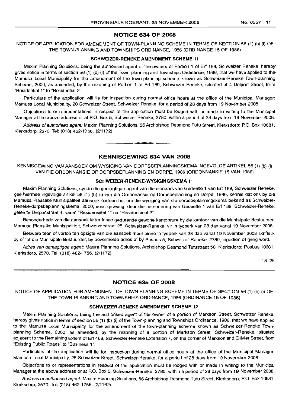### **NOTICE 634 OF 2008**

NOTICE OF APPLICATION FOR AMENDMENT OF TOWN-PLANNING SCHEME IN TERMS OF SECTION 56 (1) (b) (i) OF THE TOWN-PLANNING AND TOWNSHIPS ORDINANCE, 1986 (ORDINANCE 15 OF 1986)

#### **SCHWEIZER-RENEKE AMENDMENT SCHEME 11**

Maxim Planning Solutions, being the authorised agent of the owners of Portion 1 of Erf 189, Schweizer Reneke, hereby gives notice in terms of section 56 (1) (b) (i) of the Town-planning and Townships Ordinance, 1986, that we have applied to the Mamusa Local Municipality for the amendment of the town-planning scheme known as Schweizer-Reneke Town-planning Scheme, 2000, as amended, by the rezoning of Portion 1 of Erf 189, Schweizer Reneke, situated at 4 Delport Street, from "Residential 1" to "Residential 2".

Particulars of the application will lie for inspection during normal office hours at the office of the Municipal Manager: Mamusa Local Municipality, 28 Schweizer Street, Schweizer Reneke, for a period of 28 days from 19 November 2008.

Objections to or representations in respect of the application must be lodged with or made in writing to the Municipal Manager at the above address or at P.O. Box 5, Schweizer Reneke, 2780, within a period of 28 days from 19 November 2008.

Address of authorised agent: Maxim Planning Solutions, 56 Archbishop Desmond Tutu Street, Klerksdorp; P.O. Box 10681, Klerksdorp, 2570. Tel: (018) 462-1756. (2/1172)

**KENNISGEWING 634 VAN 2008**

**-**

KENNISGEWING VAN AANSOEK OM WYSIGING VAN DORPSBEPLANNINGSKEMA INGEVOLGE ARTIKEL 56 (1) (b) (i) VAN DIE ORDONNANSIE OP DORPSBEPLANNING EN DORPE, 1986 (ORDONNANSIE 15 VAN 1986)

#### **SCHWEIZER-RENEKE-WYSIGINGSKEMA 11**

Maxim Planning Solutions, synde die gemagtigde agent van die eienaars van Gedeelte 1 van Erf 189, Schweizer Reneke, gee hiermee ingevolge artikel 56 (1) (b) (i) van die Ordonnansie op Dorpsbeplanning en Dorpe, 1986, kennis dat ons by die Mamusa Plaaslike Munisipaliteit aansoek gedoen het om die wysiging van die dorpsbeplanningskema bekend as Schweizer-Reneke-dorpsbeplanningskema, 2000, soos gewysig, deur die hersonering van Gedeelte 1 van Erf 189, Schweizer-Reneke, gelee te Delportstraat 4, vanaf "Residensieel 1" na "Residensieel 2".

Besonderhede van die aansoek Ie ter insae gedurende gewone kantoorure by die kantoor van die Munisipale Bestuurder: Mamusa Plaaslike Munisipaliteit, Schweizerstraat 28, Schweizer-Reneke, vir 'n tydperk van 28 dae vanaf 19 November 2008.

Besware teen of vertoë ten opsigte van die aansoek moet binne 'n tydperk van 28 dae vanaf 19 November 2008 skriftelik by of tot die Munisipale Bestuurder, by bovermelde adres of by Posbus 5, Schweizer-Reneke, 2780, ingedien of gerig word.

Adres van gemagtigde agent: Maxim Planning Solutions, Archbishop Desmond Tutustraat 56, Klerksdorp; Posbus 10681, Klerksdorp, 2570. Tel: (018) 462-1756. (2/1172)

18-25

#### **NOTICE 635 OF 2008**

NOTICE OF APPLICATION FOR AMENDMENT OF TOWN-PLANNING SCHEME IN TERMS OF SECTION 56 (1) (b) (i) OF THE TOWN-PLANNING AND TOWNSHIPS ORDINANCE, 1986 (ORDINANCE 15 OF 1986)

#### **SCHWEIZER-RENEKE AMENDMENT SCHEME 12**

Maxim Planning Solutions, being the authorised agent of the owner of a portion of Markson Street, Schweizer Reneke, hereby gives notice in terms of section 56 (1) (b) (i) of the Town-planning and Townships Ordinance, 1986, that we have applied to the Mamusa Local Municipality for the amendment of the town-planning scheme known as Schweizer-Reneke Townplanning Scheme, 2000, as amended, by the rezoning of a portion of Markson Street, Schweizer-Reneke, situated adjacent to the Remaining Extent of Erf 468, Schweizer-Reneke Extension 7, on the corner of Markson and Olivier Street, from "Existing Public Roads" to "Business 1",

Particulars of the application will lie for inspection during normal office hours at the office of the Municipal Manager: Mamusa Local Municipality, 28 Schweizer Street, Schweizer-Reneke, for a period of 28 days from 19 November 2008.

Objections to or representations in respect of the application must be lodged with or made in writing to the Municipal Manager at the above address or at P.O. Box 5, Schweizer-Reneke, 2780, within a period of 28 days from 19 November 2008.

Address of authorised agent: Maxim Planning Solutions, 56 Archbishop Desmond Tutu Street, Klerksdorp; P.O. Box 10681, Klerksdorp, 2570. Tel: (018) 462-1756. (2/1162)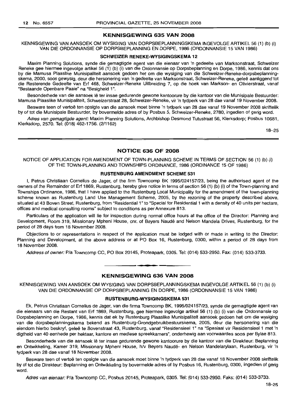## **KENNISGEWING 635 VAN 2008**

KENNISGEWING VAN AANSOEK OM WYSIGING VAN DORPSBEPLANNINGSKEMA INGEVOLGE ARTIKEL 56 (1) (b) (i) VAN DIE ORDONNANSIE OP DORPSBEPLANNING EN DORPE, 1986 (ORDONNANSIE 15 VAN 1986)

## **SCHWEIZER RENEKE-WYSIGINGSKEMA 12**

Maxim Planning Solutions, synde die gemagtigde agent van die eienaar van 'n gedeelte van Marksonstraat, Schweizer Reneke gee hiermee ingevolge artikel 56 (1) (b) (i) van die Ordonnansie op Dorpsbeplanning en Dorpe, 1986, kennis dat ons by die Mamusa Plaaslike Munisipaliteit aansoek gedoen het om die wysiging van die Schweizer-Reneke-dorpsbeplanningskema, 2000, soos gewysig, deur die hersonering van 'n gedeelte van Marksonstraat, Schweizer-Reneke, gelee aanliggend tot die Resterende Gedeelte van Erf 468, Schweizer-Reneke Uitbreiding 7, op die hoek van Markson- en Olivierstraat, vanaf "Bestaande Openbare Paaie" na "Besigheid 1".

Besonderhede van die aansoek lê ter insae gedurende gewone kantoorure by die kantoor van die Munisipale Bestuurder: Mamusa Plaaslike Munisipaliteit, Schweizerstraat 28, Schweizer-Reneke, vir 'n tydperk van 28 dae vanaf 19 November 2008.

Besware teen of vertoë ten opsigte van die aansoek moet binne 'n tydperk van 28 dae vanaf 19 November 2008 skriftelik by of tot die Munisipale Bestuurder, by bovermelde adres of by Posbus 5, Schweizer-Reneke, 2780, ingedien of gerig word.

Adres van gemagtigde agent: Maxim Planning Solutions, Archbishop Desmond Tutustraat 56, Klerksdorp; Posbus 10681, Klerksdorp, 2570. Tel: (018) 462-1756. (2/1162)

18-25

## **NOTICE 636 OF 2008**

NOTICE OF APPLICATION FOR AMENDMENT OF TOWN-PLANNING SCHEME IN TERMS OF SECTION 56 (1) (b) (i) OF THE TOWN-PLANNING AND TOWNSHIPS ORDINANCE, 1986 (ORDINANCE 15 OF 1986)

#### **RUSTENBURG AMENDMENT SCHEME 531**

I, Petrus Christiaan Cornelius de Jager, of the firm Towncomp BK 1995/024157/23, being the authorised agent of the owners of the Remainder of Erf 1869, Rustenburg, hereby give notice in terms of section 56 (1) (b) (i) of the Town-planning and Townships Ordinance, 1986, that I have applied to the Rustenburg Local Municipality for the amendment of the town-planning scheme known as Rustenburg Land Use Management Scheme, 2005, by the rezoning of the property described above, situated at 43 Boven Street, Rustenburg, from "Residential 1" to "Special for Residential 1 with a density of 40 units per hectare, offices and medical consulting rooms" subject to conditions as per Annexure 813.

Particulars of the application will lie for inspection during normal office hours at the office of the Director: Planning and Development, Room 319, Missionary Mpheni House, cnr, of Beyers Naude and Nelson Mandela Drives, Rustenburg, for the period of 28 days from 18 November 2008.

Objections to or representations in respect of the application must be lodged with or made in writing to the Director: Planning and Development, at the above address or at PO Box 16, Rustenburg, 0300, within a period of 28 days from 18 November 2008.

Address of owner: Pia Towncomp CC, PO Box 20145, Proteapark, 0305. Tel: (014) 533-2950. Fax: (014) 533-3733.

**.-**

#### **KENNISGEWING 636 VAN 2008**

KENNISGEWING VAN AANSOEK OM WYSIGING VAN DORPSBEPLANNINGSKEMA INGEVOLGE ARTIKEL 56 (1) (b) (i) VAN DIE ORDONNANSIE OP DORPSBEPLANNING EN DORPE, 1986 (ORDONNANSIE 15 VAN 1986)

#### **RUSTENBURG-WYSIGINGSKEMA 531**

Ek, Petrus Christiaan Cornelius de Jager, van die firma Towncomp BK, 1995/024157/23, synde die gemagtigde agent van die eienaars van die Restant van Erf 1869, Rustenburg, gee hiermee ingevolge artikel 56 (1) (b) (i) van die Ordonnansie op Dorpsbeplanning en Dorpe, 1986, kennis dat ek by Rustenburg Plaaslike Munisipaliteit aansoek gedoen het om die wysiging van die dorpsbeplanningskema bekend as Rustenburg-Grondgebruikbestuurskema, 2005, deur die hersonering van die eiendom hierbo beskryf, geleë te Bovenstraat 43, Rustenburg, vanaf "Residensieel 1" na "Spesiaal vir Residensieel 1 met 'n digtheid van 40 eenhede per hektaar, kantore en mediese spreekkamers", onderhewig aan voorwaardes soos per Bylae 813.

Besonderhede van die aansoek lê ter insae gedurende gewone kantoorure by die kantoor van die Direkteur: Beplanning en Ontwikkeling, Kamer 319, Missionary Mpheni House, h/v Beyers Naude- en Nelson Mandelarylaan, Rustenburg, vir 'n tydperk van 28 dae vanaf 18 November 2008.

Besware teen of vertoe ten opsigte van die aansoek moet binne 'n tydperk van 28 dae vanaf 18 November 2008 skriftelik by of tot die Direkteur: Beplanning en Ontwikkeling by bovermelde adres of by Posbus 16, Rustenburg, 0300, ingedien of gerig word.

Adres van eienaar: P/a Towncomp CC, Posbus 20145, Proteapark, 0305. Tel: (014) 533-2950. Faks: (014) 533-3733.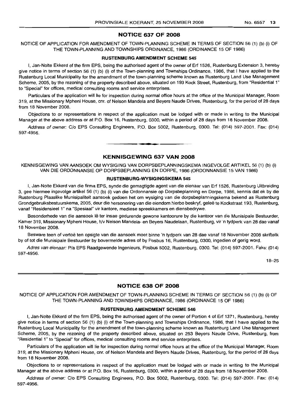## **NOTICE 637 OF 2008**

NOTICE OF APPLICATION FOR AMENDMENT OF TOWN-PLANNING SCHEME IN TERMS OF SECTION 56 (1) (b) (i) OF THE TOWN-PLANNING AND TOWNSHIPS ORDINANCE, 1986 (ORDINANCE 15 OF 1986)

#### **RUSTENBURG AMENDMENT SCHEME 545**

I, Jan-Nolte Ekkerd of the firm EPS, being the authorised agent of the owner of Erf 1526, Rustenburg Extension 3, hereby give notice in terms of section 56 (1) (b) (i) of the Town-planning and Townships Ordinance, 1986, that I have applied to the Rustenburg Local Municipality for the amendment of the town-planning scheme known as Rustenburg Land Use Management Scheme, 2005, by the rezoning of the property described above, situated on 193 Kock Street, Rustenburg, from "Residential 1" to "Special" for offices, medical consulting rooms and service enterprises.

Particulars of the application will lie for inspection during normal office hours at the office of the Municipal Manager, Room 319, at the Missionary Mpheni House, em. of Nelson Mandela and Beyers Naude Drives, Rustenburg, for the period of 28 days from 18 November 2008.

Objections to or representations in respect of the application must be lodged with or made in writing to the Municipal Manager at the above address or at P.O. Box 16, Rustenburg, 0300, within a period of 28 days from 18 November 2008.

Address of owner: C/o EPS Consulting Engineers, P.O. Box 5002, Rustenburg, 0300. Tel: (014) 597-2001. Fax: (014) 597-4956.

## **KENNISGEWING 637 VAN 2008**

**. -**

KENNISGEWING VAN AANSOEK OM WYSIGING VAN DORPSBEPLANNINGSKEMA INGEVOLGE ARTIKEL 56 (1) (b) (i) VAN DIE ORDONNANSIE OP DORPSBEPLANNING EN DORPE, 1986 (ORDONNANSIE 15 VAN 1986)

#### **RUSTENBURG-WYSIGINGSKEMA 545**

I, Jan-Nolte Ekkerd van die firma EPS, synde die gemagtigde agent van die eienaar van Erf 1526, Rustenburg Uitbreiding 3, gee hiermee ingevolge artikel 56 (1) (b) (i) van die Ordonnansie op Dorpsbeplanning en Dorpe, 1986, kennis dat ek by die Rustenburg Plaaslike Munisipaliteit aansoek gedoen het om wysiging van die dorpsbeplanningskema bekend as Rustenburg Grondgebruiksbestuurskema, 2005, deur die hersonering van die eiendom hierbo beskryf, gelee te Kockstraat 193, Rustenburg, vanaf "Residensieel 1" na "Spesiaal" vir kantore, mediese spreekkamers en diensbedrywe.

Besonderhede van die aansoek lê ter insae gedurende gewone kantoorure by die kantoor van die Munisipale Bestuurder, Kamer 319, Missionary Mpheni House, h/v Nelson Mandela- en Beyers Naudelaan, Rustenburg, vir 'n tydperk van 28 dae vanaf 18 November 2008.

Besware teen of vertoë ten opsigte van die aansoek moet binne 'n tydperk van 28 dae vanaf 18 November 2008 skriftelik by of tot die Munisipale Bestuurder by bovermelde adres of by Posbus 16, Rustenburg, 0300, ingedien of gerig word.

Adres van eienaar: Pia EPS Raadgewende Ingenieurs, Posbus 5002, Rustenburg, 0300. Tel: (014) 597-2001. Faks: (014) 597-4956.

18-25

## **NOTICE 638 OF 2008**

NOTICE OF APPLICATION FOR AMENDMENT OF TOWN-PLANNING SCHEME IN TERMS OF SECTION 56 (1) (b) (i) OF THE TOWN-PLANNING AND TOWNSHIPS ORDINANCE, 1986 (ORDINANCE 15 OF 1986)

#### **RUSTENBURG AMENDMENT SCHEME 546**

I, Jan-Nolte Ekkerd of the firm EPS, being the authorised agent of the owner of Portion 4 of Erf 1371, Rustenburg, hereby give notice in terms of section 56 (1) (b) (i) of the Town-planning and Townships Ordinance, 1986, that I have applied to the Rustenburg Local Municipality for the amendment of the town-planning scheme known as Rustenburg Land Use Management Scheme, 2005, by the rezoning of the property described above, situated on 253 Beyers Naude Drive, Rustenburg, from "Residential 1" to "Special" for offices, medical consulting rooms and service enterprises.

Particulars of the application will lie for inspection during normal office hours at the office of the Municipal Manager, Room 319, at the Missionary Mpheni House, em. of Nelson Mandela and Beyers Naude Drives, Rustenburg, for the period of 28 days from 18 November 2008.

Objections to or representations in respect of the application must be lodged with or made in writing to the Municipal Manager at the above address or at P.O. Box 16, Rustenburg, 0300, within a period of 28 days from 18 November 2008.

Address of owner: C/o EPS Consulting Engineers, P.O. Box 5002, Rustenburg, 0300. Tel: (014) 597-2001. Fax: (014) 597-4956.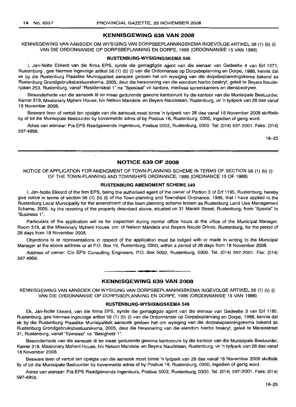## **KENNISGEWING 638 VAN 2008**

KENNISGEWING VAN AANSOEK OM WYSIGING VAN DORPSBEPLANNINGSKEMA INGEVOLGE ARTIKEL 56 (1) (b) (i) VAN DIE ORDONNANSIE OP DORPSBEPLANNING EN DORPE, 1986 (ORDONNANSIE 15 VAN 1986)

#### **RUSTENBURG-WYSIGINGSKEMA 546**

I, Jan-Nolte Ekkerd van die firma EPS, synde die gemagtigde agent van die eienaar van Gedeelte 4 van Erf 1371, Rustenburg , gee hiermee ingevolge artikel 56 (1) (b) (i) van die Ordonnansie op Dorpsbeplanning en Dorpe, 1986, kennis dat ek by die Rustenburg Plaaslike Munisipaliteit aansoek gedoen het om wysiging van die dorpsbeplanningskema bekend as Rustenburg Grondgebruiksbestuurskema, 2005, deur die hersonering van die eiendom hierbo beskryf, geleë te Beyers Nauderylaan 253, Rustenburg, vanaf "Residensieel 1" na "Spesiaal" vir kantore, mediese spreekkamers en diensbedrywe.

Besonderhede van die aansoek lê ter insae gedurende gewone kantoorure by die kantoor van die Munisipale Bestuurder, Kamer 319, Missionary Mpheni House, h/v Nelson Mandela- en Beyers Naudelaan, Rustenburg, vir 'n tydperk van 28 dae vanaf 18 November 2008.

Besware teen of vertoë ten opsigte van die aansoek moet binne 'n tydperk van 28 dae vanaf 18 November 2008 skriftelik by of tot die Munisipale Bestuurder by bovermelde adres of by Posbus 16, Rustenburg, 0300, ingedien of gerig word.

Adres van eienaar: P/a EPS Raadgewende Ingenieurs, Posbus 5002, Rustenburg, 0300. Tel: (014) 597-2001. Faks: (014) 597-4956.

18-25

#### **NOTICE 639 OF 2008**

 $\ddot{\phantom{0}}$ 

NOTICE OF APPLICATION FOR AMENDMENT OF TOWN-PLANNING SCHEME IN TERMS OF SECTION 56 (1) (b) (i) OF THE TOWN-PLANNING AND TOWNSHIPS ORDINANCE, 1986 (ORDINANCE 15 OF 1986)

#### **RUSTENBURG AMENDMENT SCHEME 549**

I, Jan-Nolte Ekkerd of the firm EPS, being the authorised agent of the owner of Portion 3 of Erf 1195, Rustenburg, hereby give notice in terms of section 56 (1) (b) (i) of the Town-planning and Townships Ordinance, 1986, that I have applied to the Rustenburg Local Municipality for the amendment of the town-planning scheme known as Rustenburg Land Use Management Scheme, 2005, by the rezoning of the property described above, situated on 31 Marais Street, Rustenburg, from "Special" to "Business 1".

Particulars of the application will lie for inspection during normal office hours at the office of the Municipal Manager, Room 319, at the Missionary Mpheni House, cnr. of Nelson Mandela and Beyers Naude Drives, Rustenburg, for the period of 28 days from 18 November 2008.

Objections to or representations in respect of the application must be lodged with or made in writing to the Municipal Manager at the above address or at P.O. Box 16, Rustenburg, 0300, within a period of 28 days from 18 November 2008.

Address of owner: C/o EPS Consulting Engineers, P.O. Box 5002, Rustenburg, 0300. Tel. (014) 597-2001. Fax: (014) 597-4956.

#### **KENNISGEWING 639 VAN 2008**

**. -**

KENNISGEWING VAN AANSOEK OM WYSIGING VAN DORPSBEPLANNINGSKEMA INGEVOLGE ARTIKEL 56 (1) (b) (i) VAN DIE ORDONNANSIE OP DORPSBEPLANNING EN DORPE, 1986 (ORDONNANSIE 15 VAN 1986)

#### **RUSTENBURG-WYSIGINGSKEMA 549**

Ek, Jan-Nolte Ekkerd, van die firma EPS, synde die gemagtigde agent van die eienaar van Gedeelte 3 van Erf 1195, Rustenburg, gee hiermee ingevolge artikel 56 (1) (b) (i) van die Ordonnansie op Dorpsbeplanning en Dorpe, 1986, kennis dat ek by die Rustenburg Plaaslike Munisipaliteit aansoek gedoen het om wysiging van die dorpsbeplanningskema bekend as Rustenburg Grondgebruiksbestuurskema, 2005, deur die hersonering van die eiendom hierbo beskryf, geleë te Maraisstraat 31, Rustenburg, vanaf "Spesiaal" na "Besigheid 1".

Besonderhede van die aansoek lê ter insae gedurende gewone kantoorure by die kantoor van die Munisipale Bestuurder, Kamer 319, Missionary Mpheni House, h/v Nelson Mandela- en Beyers Naudelaan, Rustenburg, vir 'n tydperk van 28 dae vanaf 18 November 2008.

Besware teen of vertoe ten opsigte van die aansoek moet binne 'n tydperk van 28 dae vanaf 18 November 2008 skriftelik by of tot die Munisipale Bestuurder by bovermelde adres of by Posbus 16, Rustenburg, 0300, ingedien of gerig word.

Adres van eienaar: P/a EPS Raadgewende Ingenieurs, Posbus 5002, Rustenburg, 0300. Tel. (014) 597-2001. Faks: (014) 597-4956.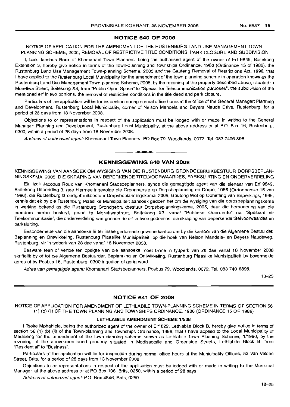## **NOTICE 640 OF 2008**

NOTICE OF APPLICATION FOR THE AMENDMENT OF THE RUSTENBURG LAND USE MANAGEMENT TOWN-PLANNING SCHEME, 2005, REMOVAL OF RESTRICTIVE TITLE CONDITIONS, PARK CLOSURE AND SUBDIVISION

I, Izak Jacobus Roux of Khomanani Town Planners, being the authorised agent of the owner of Erf 9849, Boitekong Extension 3, hereby give notice in terms of the Town-planning and Townships Ordinance, 1986 (Ordinance 15 of 1986), the Rustenburg Land Use Management Town-planning Scheme, 2005 and the Gauteng Removal of Restrictions Act, 1996, that I have applied to the Rustenburg Local Municipality for the amendment of the town-planning scheme in operation known as the Rustenburg Land Use Management Town-planning Scheme, 2005, by the rezoning of the property described above, situated in Moretlwa Street, Boitekong X3, from "Public Open Space" to "Special for Telecommunication purposes", the subdivision of the mentioned erf in two portions, the removal of restrictive conditions in the title deed and park closure.

Particulars of the application will lie for inspection during normal office hours at the office of the General Manager: Planning and Development, Rustenburg Local Municipality, corner of Nelson Mandela and Beyers Naude Drive, Rustenburg, for a period of 28 days from 18 November 2008.

Objections to or representations in respect of the application must be lodged with or made in writing to the General Manager: Planning and Development, Rustenburg Local Municipality, at the above address or at P.O. Box 16, Rustenburg, 0300, within a period of 28 days from 18 November 2008.

Address of authorised agent: Khomanani Town Planners, PO Box 79, Woodlands, 0072. Tel. 083 7406 898.

## **KENNISGEWING 640 VAN 2008**

.**- .**

KENNISGEWING VAN AANSOEK OM WYSIGING VAN DIE RUSTENBURG GRONDGEBRUIKBESTUUR DORPSBEPLAN-NINGSKEMA, 2005, DIE SKRAPING VAN BEPERKENDE TITELVOORWAARDES, PARKSLUITING EN ONDERVERDELING

Ek, Izak Jacobus Roux van Khomanani Stadsbeplanners, synde die gemagtigde agent van die eienaar van Erf 9849, Boitekong Uitbreiding 3, gee hiermee ingevolge die Ordonnansie op Dorpsbeplanning en Dorpe, 1986 (Ordonnansie 15 van 1986), die Rustenburg Grondgebruikbestuur Dorpsbeplanningskema, 2005, Gauteng Wet op Opheffing van Beperkings, 1996, kennis dat ek by die Rustenburg Plaaslike Munisipaliteit aansoek gedoen het om die wysiging van die dorpsbeplanningskema in werking bekend as die Rustenburg Grondgebruikbestuur Dorpsbeplanningskema, 2005, deur die hersonering van die eiendom hierbo beskryf, geleë te Moretlwastraat, Boitekong X3, vanaf "Publieke Oopruimte" na "Spesiaal vir Telekommunikasie", die onderverdeling van genoemde erf in twee gedeeltes, die skraping van beperkende titelvoorwaardes en parksluiting.

Besonderhede van die aansoeke lê ter insae gedurende gewone kantoorure by die kantoor van die Algemene Bestuurder, Beplanning en Ontwikkeling, Rustenburg Plaaslike Munisipaliteit, op die hoek van Nelson Mandela- en Beyers Naudeweq, Rustenburg, vir 'n tydperk van 28 dae vanaf 18 November 2008.

Besware teen of vertoë ten opsigte van die aansoeke moet binne 'n tydperk van 28 dae vanaf 18 November 2008 skriftelik by of tot die Aigemene Bestuurder, Beplanning en Ontwikkeling, Rustenburg Plaaslike Munisipaliteit by bovermelde adres of by Posbus 16, Rustenburg, 0300 ingedien of gerig word.

Adres van gemagtigde agent: Khomanani Stadsbeplanners, Posbus 79, Woodlands, 0072. Tel. 083 740 6898.

18-25

## **NOTICE 641 OF 2008**

NOTICE OF APPLICATION FOR AMENDMENT OF LETHLABILE TOWN-PLANNING SCHEME IN TERMS OF SECTION 56 (1) (b) (ii) OF THE TOWN PLANNING AND TOWNSHIPS ORDINANCE, 1986 (ORDINANCE 15 OF 1986)

## **LETHLABILE AMENDMENT SCHEME** 1/538

I Tseke Mphahlele, being the authorized agent of the owner of Erf 822, Lethlabile Block B, hereby give notice in terms of section 56 (1) (b) (ii) of the Town-planning and Townships Ordinance, 1986, that I have applied to the Local Municipality of Madibeng for the amendment of the town-planning scheme known as Lethlabile Town Planning Scheme, 1/1990, by the rezoning of the above-mentioned property situated in Modisaotsile and Greenside Streets, Lethlabile Block B, from "Residential" to "Business".

Particulars of the application will lie for inspection during normal office hours at the Municipality Offices, 53 Van Velden Street, Brits, for a period of 28 days from 13 November 2008.

Objections to or representations in respect of the application must be lodged with or made in writing to the Municipal Manager, at the above address or at PO Box 106, Brits, 0250, within a period of 28 days.

Address of authorized agent: P.O. Box 4846, Brits, 0250.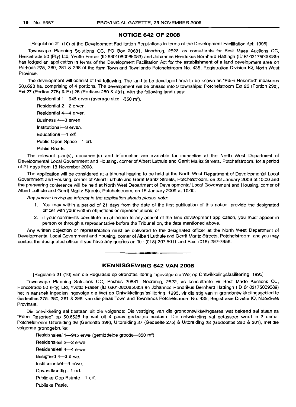## **NOTICE 642 OF 2008**

[Regulation 21 (10) of the Development Facilitation Regulations in terms of the Development Facilitation Act, 1995]

Townscape Planning Solutions CC, PO Box 20831, Noorbrug, 2522, as consultants for Best Made Auctions CC, Hencetrade 50 (Pty) Ltd, Yvette Fraser (10 6301080085083) and Johannes Hendrikus Bernhard Hattingh (106103175009089) has lodged an application in terms of the Development Facilitation Act for the establishment of a land development area on Portions 275, 280, 281 & 298 of the farm Town and Townlands Potchefstroom No. 435, Registration Division IQ, North West Province.

The development will consist of the following: The land to be developed area to be known as "Eden Resorted" measures 50,6528 ha, comprising of 4 portions. The development will be phased into 3 townships: Potchefstroom Ext 26 (Portion 298), Ext 27 (Portion 275) & Ext 28 (Portions 280 & 281), with the following land uses:

Residential 1-945 erven (average size-350  $m^2$ ).

Residential 2-2 erven. Residential 4-4 erven. Business 4-3 erven. Institutional-3 erven. Educational-1 erf. Public Open Space-1 erf. Public Roads.

The relevant plan(s), document(s) and information are available for inspection at the North West Department of Developmental Local Government and Housing, corner of Albert Luthule and Gerrit Maritz Streets, Potchefstroom, for a period of 21 days from 18 November 2008.

The application will be considered at a tribunal hearing to be held at the North West Department of Developmental Local Government and Housing, corner of Albert Luthule and Gerrit Maritz Streets, Potchefstroom, on 22 January 2009 at 10:00 and the prehearing conference will be held at North West Department of Developmental Local Government and Housing, corner of Albert Luthule and Gerrit Maritz Streets, Potchefstroom, on 15 January 2009 at 10:00.

Any person having an interest in the application should please note:

- 1. You may within a period of 21 days from the date of the first publication of this notice, provide the designated officer with your written objections or representations; or
- 2. if your comments constitute an objection to any aspect of the land development application, you must appear in person or through a representative before the Tribunal on, the date mentioned above.

Any written objection or representation must be delivered to the designated officer at the North West Department of Developmental Local Government and Housing, corner of Albert Luthule and Gerrit Maritz Streets, Potchefstroom, and you may contact the designated officer if you have any queries on Tel: (018) 297-5011 and Fax: (018) 297-7956. .**-.**

## **KENNISGEWING 642 VAN 2008**

[Regulasie 21 (10) van die Regulasie op Grondfasilitering ingevolge die Wet op Ontwikkelingsfasilitering, 1995]

Townscape Planning Solutions CC, Posbus 20831, Noorbrug, 2522, as konsultante vir Best Made Auctions CC, Hencetrade 50 (Pty) Ltd, Yvette Fraser (10 6301080085083) en Johannes Hendrikus Bernhard Hattingh (lD 6103175009089) het 'n aansoek ingedien ingevolge die Wet op Ontwikkelingsfasilitering, 1995, vir die stig van 'n grondontwikkelingsgebied te Gedeeltes 275, 280, 281 & 298, van die plaas Town and Townlands Potchefstroom No. 435, Registrasie Divisie 10, Noordwes Provinsie.

Die ontwikkeling sal bestaan uit die volgende: Die vestiging van die grondontwikkelingsarea wat bekend sal staan as "Eden Resorted" op 50,6528 ha wat uit 4 plaas gedeeltes bestaan. Die ontwikkeling sal gefasseer word in 3 dorpe: Potchefstroom Uitbreiding 26 (Gedeelte 298), Uitbreiding 27 (Gedeelte 275) & Uitbreiding 28 (Gedeeltes 280 & 281), met die volgende grondgebruike:

Residensieel 1-945 erwe (gemiddelde grootte-350 m<sup>2</sup>).

Residensieel 2-2 erwe. Residensieel 4--4 erwe. Besigheid 4-3 erwe. Institusioneel-3 erwe.

Opvoedkundig-1 ert.

Publieke Oop Ruimte-1 erf.

Publieke Paaie.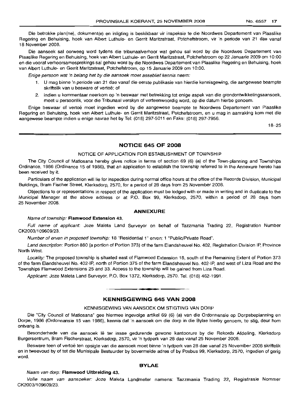Die betrokke plan(ne), dokument(e) en inligting is beskikbaar vir inspeksie te die Noordwes Departement van Plaaslike Regering en Behuising, hoek van Albert Luthule- en Gerrit Maritzstraat, Potchefstroom, vir 'n periode van 21 dae vanaf 18 November 2008.

Die aansoek sal oorweeg word tydens die tribunaalverhoor wat gehou sal word by die Noordwes Departement van Plaaslike Regering en Behuising, hoek van Albert Luthule- en Gerrit Maritzstraat, Potchefstroom op 22 Januarie 2009 om 10:00 en die vooraf verhoorsamesprekings sal gehou word by die Noordwes Departement van Plaaslike Regering en Behuising, hoek van Albert Luthule- en Gerrit Maritzstraat, Potchefstroom, op 15 Januarie 2009 om 10:00.

Enige persoon wat 'n belang het by die aansoek moet asseblief kennis neem:

- 1. U mag binne 'n periode van 21 dae vanaf die eerste publikasie van hierdie kennisgewing, die aangewese beampte skriftelik van u besware of vertoë: of
- 2. indien u kommentaar neerkom op 'n beswaar met betrekking tot enige aspek van die grondontwikkelingsaansoek, moet u persoonlik, voor die Tribunaal verskyn of verteenwoordig word, op die datum hierbo genoem.

Enige beswaar of vertoë moet ingedien word by die aangewese beampte te Noordwes Departement van Plaaslike Regering en Behuising, hoek van Albert Luthule- en Gerrit Maritzstraat, Potchefstroom, en u mag in aanraking kom met die aangewese beampte indien u enige navrae het by Tel: (018) 297-5011 en Faks: (018) 297-7956.

18-25

### **NOTICE 645 OF 2008**

#### NOTICE OF APPLICATION FOR ESTABLISHMENT OF TOWNSHIP

The City Council of Matlosana hereby gives notice in terms of section 69 (6) (a) of the Town-planning and Townships Ordinance, 1986 (Ordinance 15 of 1986), that an application to establish the township referred to in the Annexure hereto has been received by it.

Particulars of the application will lie for inspection during normal office hours at the office of the Records Division, Municipal Buildings, Bram Fischer Street, Klerksdorp, 2570, for a period of 28 days from 25 November 2008.

Objections to or representations in respect of the application must be lodged with or made in writing and in duplicate to the Municipal Manager at the above address or at P.O. Box 99, Klerksdorp, 2570, within a period of 28 days from 25 November 2008.

#### **ANNEXURE**

#### Name of township: **Flamwood Extension** 43.

Full name of applicant: Joze Maleta Land Surveyor on behalf of Tazzmania Trading 22, Registration Number CK2003/109609/23.

Number of erven in proposed township: 18 "Residential 1" erven; 1 "Public/Private Road",

Land description: Portion 880 (a portion of Portion 373) of the farm Elandsheuvel No. 402, Registration Division IP, Province North West.

Locality: The proposed township is situated east of Flamwood Extension 18, south of the Remaining Extent of Portion 373 of the farm Elandsheuvel No. 402-IP, north of Portion 375 of the farm Elandsheuvel No. 402-IP, and west of Liza Road and the Townships Flamwood Extensions 25 and 33. Access to the township will be gained from Liza Road.

Applicant: Joze Maleta Land Surveyor, P.O. Box 1372, Klerksdorp, 2570. Tel. (018) 462-1991 .

#### **KENNISGEWING 645 VAN 2008**

.**- .**

#### KENNISGEWING VAN AANSOEK OM STIGTING VAN DORP

Die "City Council of Matlosana" gee hiermee ingevolge artikel 69 (6) (a) van die Ordonnansie op Dorpsbeplanning en Dorpe, 1986 (Ordonnansie 15 van 1986), kennis dat 'n aansoek om die dorp in die Bylae hierby genoem, te stig, deur hom ontvang is.

Besonderhede van die aansoek lê ter insae gedurende gewone kantoorure by die Rekords Afdeling, Klerksdorp Burgersentrum, Bram Fischerstraat, Klerksdorp, 2570, vir 'n tydperk van 28 dae vanaf 25 November 2008.

Besware teen of vertoe ten opsigte van die aansoek moet binne 'n tydperk van 28 dae vanaf 25 November 2008 skriftelik en in tweevoud by of tot die Munisipale Bestuurder by bovermelde adres of by Posbus 99, Klerksdorp, 2570, ingedien of gerig word.

#### **BYLAE**

#### Naam van dorp: **Flamwood Uitbreiding** 43.

Volle naam van aansoeker: Joze Maleta Landmeter namens: Tazzmania Trading 22, Registrasie Nommer CK2003/109609/23.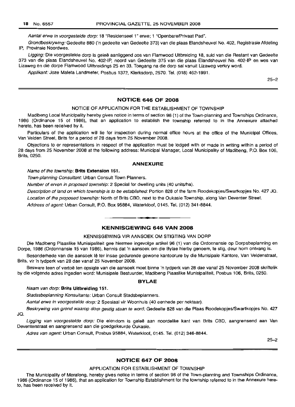Aantal erwe in voorgestelde dorp: 18 "Residenseel 1" erwe; 1 "Openbare/Privaat Pad".

Grondbeskrywing: Gedeelte 880 ('n gedeelte van Gedeelte 373) van die plaas Elandsheuvel No. 402, Registrasie Afdeling IP, Provinsie Noordwes.

Ligging: Die voorgestelde dorp is geleë aanliggend oos van Flamwood Uitbreiding 18, suid van die Restant van Gedeelte 373 van die plaas Elandsheuvel No. 402-IP, noord van Gedeelte 375 van die plaas Elandsheuvel No. 402-IP en wes van Lizaweg en die dorpe Flamwood Uitbreidings 25 en 33. Toegang na die dorp sal vanuit Lizaweg verkry word.

Applikant: Joze Maleta Landmeter, Posbus 1372, Klerksdorp, 2570. Tel. (018) 462-1991.

25-2

#### **NOTICE 646 OF 2008**

#### NOTICE OF APPLICATION FOR THE ESTABLISHMENT OF TOWNSHIP

Madibeng Local Municipality hereby gives notice in terms of section 96 (1) of the Town-planning and Townships Ordinance, 1986 (Ordinance 15 of 1986), that an application to establish the township referred to in the Annexure attached hereto, has been received by it.

Particulars of the application will lie for inspection during normal office hours at the office of the Municipal Offices, Van Velden Street, Brits for a period of 28 days from 25 November 2008.

Objections to or representations in respect of the application must be lodged with or made in writing within a period of 28 days from 25 November 2008 at the following address: Municipal Manager, Local Municipality of Madibeng, P.O. Box 106, Brits, 0250.

#### **ANNEXURE**

#### Name of the township: **Brits Extension 151.**

Town-planning Consultant: Urban Consult Town Planners.

Number of erven in proposed township: 2 Special for dwelling units (40 units/ha).

Description of land on which township is to be established: Portion 828 of the farm Roodekopjes/Swartkopjes No. 427 JQ.

Location of the proposed township: North of Brits CBD, next to the Oukasie Township, along Van Deventer Street.

Address of agent: Urban Consult, P.O. Box 95884, Waterkloof, 0145. Tel. (012) 341-8844.

## **KENNISGEWING 646 VAN 2008**

**-**

#### KENNISGEWING VIR AANSOEK OM STIGTING VAN DORP

Die Madibeng Plaaslike Munisipaliteit gee hiermee ingevolge artikel 96 (1) van die Ordonnansie op Dorpsbeplanning en Dorpe, 1986 (Ordonnansie 15 van 1986), kennis dat 'n aansoek om die Bylae hierby genoem, te stig, deur hom ontvang is.

Besonderhede van die aansoek lê ter insae gedurende gewone kantoorure by die Munisipale Kantore, Van Veldenstraat, Brits, vir 'n tydperk van 28 dae vanaf 25 November 2008.

Besware teen of vertoë ten opsigte van die aansoek moet binne 'n tydperk van 28 dae vanaf 25 November 2008 skriftelik by die volgende adres ingedien word: Munisipale Bestuurder, Madibeng Plaaslike Munisipaliteit, Posbus 106, Brits, 0250.

#### **BYLAE**

#### Naam van dorp: **Brits Uitbreiding 151.**

Stadssbeplanning Konsultante: Urban Consult Stadsbeplanners.

Aantal erwe in voorgestelde dorp: 2 Spesiaal vir Woonhuis (40 eenhede per hektaar).

Beskrywing van grond waarop dorp gestig staan te word: Gedeelte 828 van die Plaas Roodekopjes/Swartkopjes No. 427 JQ.

Ligging van voorgestelde dorp: Die eiendom is geleë aan noordelike kant van Brits CBD, aangrensend aan Van Deventerstraat en aangrensend aan die goedgekeurde Oukasie.

Adres van agent: Urban Consult, Posbus 95884, Waterkloof, 0145. Tel. (012) 346-8844.

25-2

## **NOTICE 647 OF 2008**

#### APPLICATION FOR ESTABLISHMENT OF TOWNSHIP

The Municipality of Merafong, hereby gives notice in terms of section 96 of the Town-planning and Townships Ordinance, 1986 (Ordinance 15 of 1986), that an application for Township Establishment for the township referred to in the Annexure hereto, has been received by it.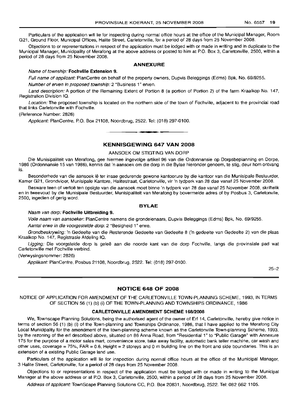Particulars of the application will lie for inspecting during normal office hours at the office of the Municipal Manager, Room G21, Ground Floor, Municipal Offices, Halite Street, Carletonville, for a period of 28 days from 25 November 2008.

Objections to or representations in respect of the application must be lodged with or made in writing and in duplicate to the Municipal Manager, Municipality of Merafong at the above address or posted to him at P.O. Box 3, Carletonville, 2500, within a period of 28 days from 25 November 2008.

#### ANNEXURE

#### Name of township: Fochville Extension 9.

Full name of applicant: PlanCentre on behalf of the property owners, Dupvis Beleggings (Edms) Bpk, No. 69/9255.

Number of erven in proposed township: 2 "Business 1" erven.

Land description: A portion of the Remaining Extent of Portion 8 (a portion of Portion 2) of the farm Kraalkop No. 147, Registration Division IQ.

Location: The proposed township is located on the northern side of the town of Fochville, adjacent to the provincial road that links Carletonville with Fochville.

#### (Reference Number: 2826)

Applicant: PlanCentre, P.O. Box 21108, Noordbrug, 2522. Tel: (018) 297-0100. **-.**

# KENNISGEWING 647 VAN 2008

#### AANSOEK OM STIGTING VAN DORP

Die Munisipaliteit van Merafong, gee hiermee ingevolge artikel 96 van die Ordonnansie op Dorpsbeplanning en Dorpe, 1986 (Ordonnansie 15 van 1986), kennis dat 'n aansoek om die dorp in die Bylae hieronder genoem, te stig, deur hom ontvang is.

Besonderhede van die aansoek lê ter insae gedurende gewone kantoorure by die kantoor van die Munisipale Bestuurder, Kamer G21, Grondvloer, Munisipale Kantore, Halitestraat, Carletonville, vir 'n tydperk van 28 dae vanaf 25 November 2008.

Besware teen of vertoë ten opsigte van die aansoek moet binne 'n tydperk van 28 dae vanaf 25 November 2008, skriftelik en in tweevoud by die Munisipale Bestuurder, Munisipaliteit van Merafong by bovermelde adres of by Posbus 3, Carletonvile, 2500, ingedien of gerig word.

### BYLAE

#### Naam van dorp: Fochville Uitbreiding 9.

Volle naam van aansoeker: PlanCentre namens die grondeienaars, Dupvis Beleggings (Edms) Bpk, No. 69/9255.

Aantal erwe in die voorgestelde dorp: 2 "Besigheid 1" erwe.

Grondbeskrywing: 'n Gedeelte van die Resterende Gedeelte van Gedeelte 8 ('n gedeelte van Gedeelte 2) van die plaas Kraalkop No. 147, Registrasie Afdeling IQ.

Ligging: Die voorgstelde dorp is geleë aan die noorde kant van die dorp Fochville, langs die provinsiale pad wat Carletonville met Fochville verbind.

#### (Verwysingsnommer: 2826)

Applikant: PlanCentre, Posbus 21108, Noordbrug, 2522. Tel: (018) 297-0100.

25-2

### NOTICE 648 OF 2008

NOTICE OF APPLICATION FOR AMENDMENT OF THE CARLETONVILLE TOWN-PLANNING SCHEME, 1993, IN TERMS OF SECTION 56 (1) (b) (i) OF THE TOWN-PLANNING AND TOWNSHIPS ORDINANCE, 1986

#### CARLETONVILLE AMENDMENT SCHEME 168/2008

We, Townscape Planning Solutions, being the authorised agent of the owner of Erf 14, Carletonville, hereby give notice in terms of section 56 (1) (b) (i) of the Town-planning and Townships Ordinance, 1986, that I have applied to the Merafong City Local Municipality for the amendment of the town-planning scheme known as the Carletonville Town-planning Scheme, 1993, by the rezoning of the erf described above, situated on 86 Anna Road, from "Residential 1" to "Public Garage" with Annexure 175 for the purpose of a motor sales mart, convenience store, take away facility, automatic bank teller machine, car wash and other uses, coverage = 75%, FAR = 0.6, Height = 2 storeys and 0 m building line on the front and side boundaries. This is an extension of a existing Public Garage land use.

Particulars of the application will lie for inspection during normal office hours at the office of the Municipal Manager, 3 Halite Street, Carletonville, for a period of 28 days from 25 November 2008.

Objections to or representations in respect of the application must be lodged with or made in writing to the Municipal Manager at the above address or at P.O. Box 3, Carletonville, 2500, within a period of 28 days from 25 November 2008.

Address of applicant: TownScape Planning Solutions CC, P.O. Box 20831, Noordbrug, 2522. Tel: 082 662 1105.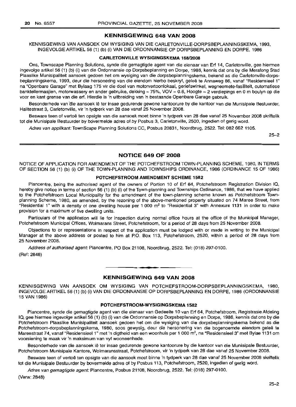## KENNISGEWING 648 VAN 2008

KENNISGEWING VAN AANSOEK OM WYSIGING VAN DIE CARLETONVILLE-DORPSBEPLANNINGSKEMA, 1993, INGEVOLGE ARTIKEL 56 (1) (b) (i) VAN DIE ORDONNANSIE OP DORPSBEPLANNING EN DORPE, 1986

#### CARLETONVILLE WYSIGINGSKEMA 168/2008

Ons, Townscape Planning Solutions, synde die gemagtigde agent van die eienaar van Erf 14, Carletonville, gee hiermee ingevolge artikel 56 (1) (b) (i) van die Ordonnansie op Dorpsbeplanning en Dorpe, 1986, kennis dat ons by die Merafong Stad Plaaslike Munisipaliteit aansoek gedoen het om wysiging van die dorpsbeplanningskema, bekend as die Carletonville-dorpsbeplanningskema, 1993, deur die hersonering van die eiendom hierbo beskryf, geles te Annaweg 86, vanaf "Residensieel 1" na "Openbare Garage" met Bylaag 175 vir die doel van motorvertoonlokaal, geriefswinkel, wegneemete-fasiliteit, outomatiese banktellermasjien, motorwassery en ander gebruike, dekking =75%, VOV =0.6, Hoogte =<sup>2</sup> verdiepings en 0 m boulyn op die voor en kant grense van die erf. Hierdie is 'n uitbreiding van 'n bestaande Openbare Garage gebruik.

Besonderhede van die aansoek lê ter insae gedurende gewone kantoorure by die kantoor van die Munisipale Bestuurder, Halitestraat 3, Carletonville, vir 'n tydperk van 28 dae vanaf 25 November 2008.

Besware teen of vertoe ten opsigte van die aansoek moet binne 'n tydperk van 28 dae vanaf 25 November 2008 skriftelik tot die Munisipale Bestuurder by boverrnelde adres of by Posbus 3, Carletonville, 2500, ingedien of gerig word.

Adres van applikant: TownScape Planning Solutions CC, Posbus 20831, Noordbrug, 2522, Tel: 082 662 1105.

25-2

#### NOTICE 649 OF 2008

NOTICE OF APPLICATION FOR AMENDMENT OF THE POTCHEFSTROOM TOWN-PLANNING SCHEME, 1980, IN TERMS OF SECTION 56 (1) (b) (i) OF THE TOWN-PLANNING AND TOWNSHIPS ORDINANCE, 1986 (ORDINANCE 15 OF 1986)

## POTCHEFSTROOM AMENDMENT SCHEME 1582

Plancentre, being the authorised agent of the owners of Portion 10 of Erf 64, Potchefstroom Registration Division IQ. hereby give notice in terms of section 56 (1) (b) (i) of the Town-planning and Townships Ordinance, 1986, that we have applied to the Potchefstroom Local Municipality for the amendment of the town-planning scheme known as Potchefstroom Townplanning Scheme, 1980, as amended, by the rezoning of the above-mentioned property situated on 74 Maree Street, from "Residential 1" with a density of one dwelling house per 1 000  $m<sup>2</sup>$  to "Residential 3" with Annexure 1131 in order to make provision for a maximum of five dwelling units.

Particulars of the application will lie for inspection during normal office hours at the office of the Municipal Manager, Potchefstroom Municipal Offices, Wolmarans Street, Potchefstroom, for a period of 28 days from 25 November 2008.

Objections to or representations in respect of the application must be lodged with or made in writing to the Municipal Manager at the above address or posted to him at P.O. Box 113, Potchefstroom, 2520, within a period of 28 days from 25 November 2008.

Address of authorised agent: Plancentre, PO Box 21108, Noordbrug, 2522. Tel: (018) 297-0100. (Ref: 2848)

# **•** KENNISGEWING 649 VAN 2008

KENNISGEWING VAN AANSOEK OM WYSIGING VAN POTCHEFSTROOM-DORPSBEPLANNINGSKEMA, 1980, INGEVOLGE ARTIKEL 56 (1) (b) (i) VAN DIE ORDONNANSIE OP DORPSBEPLANNING EN DORPE, 1986 (ORDONNANSIE 15 VAN 1986)

#### POTCHEFSTROOM-WYSIGINGSKEMA 1582

Plancentre, synde die gemagtigde agent van die eienaar van Gedeelte 10 van Erf 64, Potchefstroom, Registrasie Afdeling la, gee hiermee ingevolge artikel 56 (1) (b) (i) van die Ordonnansie op Dorpsbeplanning en Dorpe, 1986, kennis dat ons by die Potchefstroom Plaaslike Munisipaliteit aansoek gedoen het om die wysiging van die dorpsbeplanningskema bekend as die Potchefstroom-dorpsbeplanningskema, 1980, soos gewysig, deur die hersonering van die bogenoemde eiendom geleë te Mareestraat 74, vanaf "Residensieel 1" met 'n digtheid van een woonhuis per 1 000 m<sup>2</sup>, na "Residensieel 3" met Bylae 1131 om voorsiening te maak vir 'n maksimum van vyf wooneenhede.

Besonderhede van die aansoek lê ter insae gedurende gewone kantoorure by die kantoor van die Munisipale Bestuurder, Potchefstroom Munisipale Kantore, Wolmaransstraat, Potchefstroom, vir 'n tydperk van 28 dae vanaf 25 November 2008.

Besware teen of vertoe ten opsigte van die aansoek moet binne 'n tydperk van 28 dae vanaf 25 November 2008 skriftelik tot die Munisipale Bestuurder by bovermelde adres of by Posbus 113, Potchefstroom, 2520, ingedien of gerig word.

Adres van gemagtigde agent: Plancentre, Posbus 21108, Noordbrug, 2522. Tel: (018) 297-0100.

(Verw: 2848)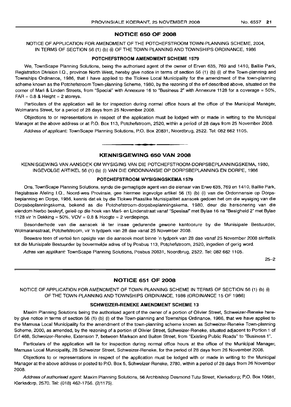#### NOTICE 650 OF 2008

NOTICE OF APPLICATION FOR AMENDMENT OF THE POTCHEFSTROOM TOWN-PLANNING SCHEME, 2004, IN TERMS OF SECTION 56 (1) (b) (i) OF THE TOWN-PLANNING AND TOWNSHIPS ORDINANCE, 1986

#### POTCHEFSTROOM AMENDMENT SCHEME 1579

We, TownScape Planning Solutions, being the authorised agent of the owner of Erven 635, 769 and 1410, Baillie Park, Registration Division I.Q., province North West, hereby give notice in terms of section 56 (1) (b) (i) of the Town-planning and Townships Ordinance, 1986, that I have applied to the Tlokwe Local Municipality for the amendment of the town-planning scheme known as the Potchefstroom Town-planning Scheme, 1980, by the rezoning of the ert described above, situated on the corner of Marl & Linden Streets, from "Special" with Annexure 16 to "Business 2" with Annexure 1128 for a coverage = 50%,  $FAR = 0.8$  & Height = 2 storeys.

Particulars of the application will lie for inspection during normal office hours at the office of the Municipal Manager, Wolmarans Street, for a period of 28 days from 25 November 2008.

Objections to or representations in respect of the application must be lodged with or made in writing to the Municipal Manager at the above address or at P.O. Box 113, Potchefstroom, 2520, within a period of 28 days from 25 November 2008.

Address of applicant: TownScape Planning Solutions, P.O. Box 20831, Noordbrug, 2522. Tel: 082 662 1105. .**-.**

## KENNISGEWING 650 VAN 2008

KENNISGEWING VAN AANSOEK OM WYSIGING VAN DIE POTCHEFSTROOM-DORPSBEPLANNINGSKEMA, 1980, INGEVOLGE ARTIKEL 56 (1) (b) (i) VAN DIE ORDONNANSIE OP DORPSBEPLANNING EN DORPE, 1986

#### POTCHEFSTROOM WVSIGINGSKEMA 1579

Ons, TownScape Planning Solutions, synde die gemagtigde agent van die eienaar van Erwe 635, 769 en 1410, Baillie Park, Registrasie Afeling I.Q., Noord-wes Provinsie, gee hiermee ingevolge artikel 56 (1) (b) (i) van die Ordonnansie op Dorpsbeplanning en Dorpe, 1986, kennis dat ek by die Tlokwe Plaaslike Munisipaliteit aansoek gedoen het om die wysiging van die Dorpsbeplanningskema, bekend as die Potchefstroom-dorpsbeplanningskema, 1980, deur die hersonering van die eiendom hierbo beskryf, geleë op die hoek van Marl- en Lindenstraat vanaf "Spesiaal" met Bylae 16 na "Besigheid 2" met Bylae 1128 vir 'n Dekking = 50%, VOV = 0.8 & Hoogte = 2 verdiepings.

Besonderhede van die aansoek lê ter insae gedurende gewone kantoorure by die Munisipale Bestuurder, Wolmaransstraat, Potchefstroom, vir 'n tydperk van 28 dae vanaf 25 November 2008.

Besware teen of vertoë ten opsigte van die aansoek moet binne 'n tydperk van 28 dae vanaf 25 November 2008 skriftelik tot die Munisipale Bestuurder by bovermelde adres of by Posbus 113, Potchefstroom, 2520, ingedien of gerig word.

Adres van applikant: TownScape Planning Solutions, Posbus 20831, Noordbrug, 2522. Tel: 082 662 1105.

25-2

#### NOTICE 651 OF 2008

NOTICE OF APPLICATION FOR AMENDMENT OF TOWN-PLANNING SCHEME IN TERMS OF SECTION 56 (1) (b) (i) OF THE TOWN-PLANNING AND TOWNSHIPS ORDINANCE, 1986 (ORDINANCE 15 OF 1986)

#### SCHWEIZER-RENEKE AMENDMENT SCHEME 13

Maxim Planning Solutions being the authorised agent of the owner of a portion of Olivier Street, Schweizer-Reneke hereby give notice in terms of section 56 (1) (b) (i) of the Town-planning and Townships Ordinance, 1986, that we have applied to the Mamusa Local Municipality for the amendment of the town-planning scheme known as Schweizer-Reneke Town-planning Scheme, 2000, as amended, by the rezoning of a portion of Olivier Street, Schweizer-Reneke, situated adjacent to Portion 1 of Ert 468, Schweizer-Reneke, Extension 7, between Markson and Buiten Street, from "Existing Public Roads" to "Business 1".

Particulars of the application will lie for inspection during normal office hours at the office of the Municipal Manager, Mamusa Local Municipality, 28 Schweizer Street, Schweizer-Reneke, for the period of 28 days from 26 November 2008.

Objections to or representations in respect of the application must be lodged with or made in writing to the Municipal Manager at the above address or posted to P.O. Box 5, Schweizer-Reneke, 2780, within a period of 28 days from 26 November 2008.

Address of authorised agent: Maxim Planning Solutions, 56 Archbishop Desmond Tutu Street, Klerksdorp; P.O. Box 10681, Klerksdorp, 2570. Tel: (018) 462-1756. (2/1175).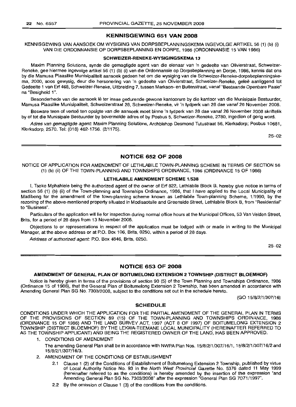## **KENNISGEWING 651 VAN 2008**

KENNISGEWING VAN AANSOEK OM WYSIGING VAN DORPSBEPLANNINGSKEMA INGEVOLGE ARTIKEL 56 (1) (b) (i) VAN DIE ORDONNANSIE OP DORPSBEPLANNING EN DORPE, 1986 (ORDONNANSIE 15 VAN 1986)

#### **SCHWEIZER-RENEKE-WYSIGINGSKEMA 13**

Maxim Planning Solutions, synde die gemagtigde agent van die eienaar van 'n gedeelte van Olivierstraat, Schweizer-Reneke, gee hiermee ingevolge artikel 56 (1) (b) (i) van die Ordonnansie op Dorpsbeplanning en Dorpe, 1986, kennis dat ons by die Mamusa Plaaslike Munisipaliteit aansoek gedoen het om die wysiging van die Schweizer-Reneke-dorpsbeplanningskema, 2000, soos gewysig, deur die hersonering van 'n gedeelte van Olivierstraat, Schweizer-Reneke, gelee aanliggend tot Gedeelte 1 van Erf 468, Schweizer-Reneke, Uitbreiding 7, tussen Markson- en Buitenstraat, vanaf "Bestaande Openbare Paaie" na "Besigheid 1".

Besonderhede van die aansoek lê ter insae gedurende gewone kantoorure by die kantoor van die Munisipale Bestuurder, Mamusa Plaaslike Munisipaliteit, Schweizerstraat 28, Schweizer-Reneke, vir 'n tydperk van 28 dae vanaf 26 November 2008.

Besware teen of vertoe ten opsigte van die aansoek moet binne 'n tydperk van 28 dae vanaf 26 November 2008 skriftelik by of tot die Munisipale Bestuurder by bovermelde adres of by Posbus 5, Schweizer-Reneke, 2780, ingedien of gerig word.

Adres van gemagtigde agent: Maxim Planning Solutions, Archbishop Desmond Tutustraat 56, Klerksdorp; Posbus 10681, Klerksdorp, 2570. Tel: (018) 462-1756. (2/1175).

25-02

## **NOTICE 652 OF 2008**

NOTICE OF APPLICATION FOR AMENDMENT OF LETHLABILE TOWN-PLANNING SCHEME IN TERMS OF SECTION 56 (1) (b) (ii) OF THE TOWN-PLANNING AND TOWNSHIPS ORDINANCE, 1986 (ORDINANCE 15 OF 1986)

### **LETHLABILE AMENDMENT SCHEME** 1/538

I, Tseke Mphahlele being the authorized agent of the owner of Erf 822, Lethlabile Block B, hereby give notice in terms of section 56 (1) (b) (ii) of the Town-planning and Townships Ordinance, 1986, that I have applied to the Local Municipality of Madibeng for the amendment of the town-planning scheme known as Lethlabile Town-planning Scheme, 1/1990, by the rezoning of the above-mentioned property situated in Modisaotsile and Greenside Street, Lethlabile Block B, from "Residential" to "Business".

Particulars of the application will lie for inspection during normal office hours at the Municipal Offices, 53 Van Velden Street, Brits, for a period of 28 days from 13 November 2008.

Objections to or representations in respect of the application must be lodged with or made in writing to the Municipal Manager, at the above address or at P.O. Box 106, Brits, 0250, within a period of 28 days.

Address of authorized agent: P.O. Box 4846, Brits, 0250.

25-02

## **NOTICE 653 OF 2008**

## **AMENDMENT OF GENERAL PLAN OF BOITUMELONG EXTENSION 2 TOWNSHIP (DISTRICT BLOEMHOF)**

Notice is hereby given in terms of the provisions of section 90 (5) of the Town Planning and Townships Ordinance, 1986 (Ordinance 15 of 1986), that the General Plan of Boitumelong Extension 2 Township, has been amended in accordance with Amending General Plan SG No. 7303/2008, subject to the conditions set out in the schedule hereto.

(GO 15/8/2/1/307/16)

#### **SCHEDULE**

CONDITIONS UNDER WHICH THE APPLICATION FOR THE PARTIAL AMENDMENT OF THE GENERAL PLAN IN TERMS OF THE PROVISIONS OF SECTION 89 (15) OF THE TOWN-PLANNING AND TOWNSHIPS ORDINANCE, 1986 (ORDINANCE 15 OF 1986) AND THE LAND SURVEY ACT, 1997 (ACT 8 OF 1997) OF BOITUMELONG EXTENSION 2 TOWNSHIP (DISTRICT BLOEMHOF) BY THE LEKWA-TEEMANE LOCAL MUNICIPALITY (HEREINAFTER REFERRED TO AS THE TOWNSHIP APPLICANT) AND BEING THE REGISTERED OWNER OF THE LAND, HAS BEEN APPROVED.

- 1. CONDITIONS OF AMENDMENT
	- The amending General Plan shall be in accordance with NWPA Plan Nos. 15/8/2/1/307/16/1, 15/8/2/1/307/16/2 and 15/8/2/1/307/16/3.
- 2. AMENDMENT OF THE CONDITIONS OF ESTABLISHMENT
	- 2.1 Clause 1 (2) of the Conditions of Establishment of Boitumelong Extension 2 Township, published by virtue of Local Authority Notice No. 93 in the North West Provincial Gazette No. 5376 dated 11 May 1999 (hereinafter referred to as the conditions) is hereby amended by the insertion of the expression "and Amending General Plan SG No. 7303/2008" after the expression "General Plan SG 7071/1997".
	- 2.2 By the omission of Clause 1 (3) of the conditions from the conditions.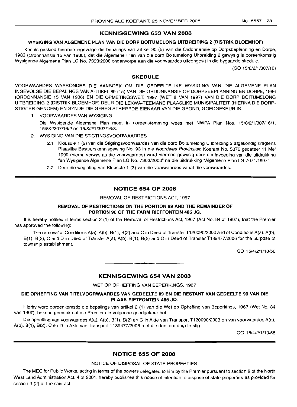## KENNISGEWING 653 VAN 2008

#### WYSIGING VAN ALGEMENE PLAN VAN DIE DORP BOITUMELONG UITBREIDING 2 (DISTRIK BLOEMHOF)

Kennis geskied hiermee ingevolge die bepalings van artikel 90 (5) van die Ordonnansie op Dorpsbeplanning en Dorpe, 1986 (Ordonnansie 15 van 1986), dat die Aigemene Plan van die dorp Boitumelong Uitbreiding 2 gewysig is ooreenkomstig Wysigende Aigemene Plan LG No. 7303/2008 onderworpe aan die voorwaardes uiteengesit in die bygaande skedule.

(GO 15/8/2/1/307/16)

## SKEDULE

VOORWAARDES WAARONDER DIE AANSOEK OM DIE GEDEELTELIKE WYSIGING VAN DIE ALGEMENE PLAN INGEVOLGE DIE BEPALINGS VAN ARTIKEL 89 (15) VAN DIE ORDONNANSIE OP DORPSBEPLANNING EN DORPE, 1986 (ORDONNANSIE 15 VAN 1986) EN DIE OPMETINGSWET, 1997 (WET 8 VAN 1997) VAN DIE DORP BOITUMELONG UITBREIDING 2 (DISTRIK BLOEMHOF) DEUR DIE LEKWA-TEEMANE PLAASLIKE MUNISIPALITEIT (HIERNA DIE DORP-STIGTER GENOEM) EN SYNDE DIE GEREGISTREERDE EIENAAR VAN DIE GROND, GOEDGEKEUR IS.

- 1. VOORWAARDES VAN WYSIGING
	- Die Wysigende Aigemene Plan moet in ooreenstemming wees met NWPA Plan Nos. 15/8/2/1/307/16/1, 15/8/2/307/16/2 en 15/8/2/1/307/16/3.
- 2. WYSIGING VAN DIE STIGTINGSVOORWAARDES
	- 2.1 Klousule 1 (2) van die Stigtingsvoorwaardes van die dorp Boitumelong Uitbreiding 2 afgekondig kragtens Plaaslike Bestuurskennisgewing No. 93 in die Noordwes Provinsiale Koerant No. 5376 gedateer 11 Mei 1999 (hierna verwys as die voorwaardes) word hiermee gewysig deur die invoeging van die uitdrukking "en Wysigende Aigemene Plan LG No. 7303/2008" na die uitdrukking "Algemene Plan LG 7071/1997".
	- 2.2 Deur die weglating van Klousule 1 (3) van die voorwaardes vanaf die voorwaardes.

## NOTICE 654 OF 2008

REMOVAL OF RESTRICTIONS ACT, 1967

## REMOVAL OF RESTRICTIONS ON THE PORTION 89 AND THE REMAINDER OF PORTION 90 OF THE FARM RIETFONTEIN 485 JQ.

It is hereby notified in terms section 2 (1) of the Removal of Restrictions Act, 1967 (Act No. 84 of 1967), that the Premier has approved the following:

The removal of Conditions A(a), A(b), B(1), B(2) and C in Deed of Transfer T120090/2003 and of Conditions A(a), A(b), B(1), B(2), C and D in Deed of Transfer A(a), A(b), B(1), B(2) and C in Deed of Transfer T139477/2006 for the purpose of township establishment.

GO 15/4/2/1/10/56

## KENNISGEWING 654 VAN 2008

**•**

WET OP OPHEFFING VAN BEPERKINGS, 1967

## DIE OPHEFFING VAN TITELVOORWAARDES VAN GEDEELTE 89 EN DIE RESTANT VAN GEDEELTE 90 VAN DIE PLAAS RIETFONTEIN 485 JQ.

Hierby word ooreenkomstig die bepalings van artikel 2 (1) van die Wet op Opheffing van Beperkings, 1967 (Wet No. 84 van 1967), bekend gemaak dat die Premier die volgende goedgekeur het:

Die opheffing van voorwaardes A(a), A(b), B(1), B(2) en C in Akte van Transport T120090/2003 en van voorwaardes A(a), A(b), B(1), B(2), C en D in Akte van Transport T139477/2006 met die doel om dorp te stig.

GO 15/4/2/1/10/56

# NOTICE 655 OF 2008

#### NOTICE OF DISPOSAL OF STATE PROPERTIES

The MEC for Public Works, acting in terms of the powers delegated to him by the Premier pursuant to section 9 of the North West Land Administration Act, 4 of 2001, hereby publishes this notice of intention to dispose of state properties as provided for section 3 (2) of the said act.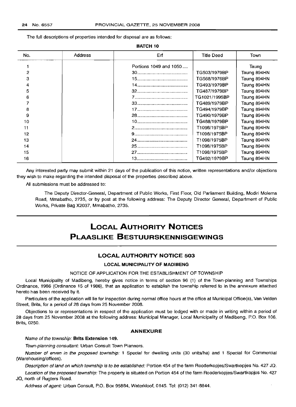**BATCH 10**

The full descriptions of properties intended for disposal are as follows:

| No. | <b>Address</b> | Erf                    | <b>Title Deed</b> | Town        |
|-----|----------------|------------------------|-------------------|-------------|
|     |                |                        |                   |             |
|     |                | Portions 1049 and 1050 |                   | Taung       |
| 2   |                |                        | TG503/1979BP      | Taung 894HN |
| з   |                |                        | TG568/1976BP      | Taung 894HN |
| 4   |                |                        | TG493/1979BP      | Taung 894HN |
| 5   |                |                        | TG487/1979BP      | Taung 894HN |
| 6   |                |                        | TG1021/1995BP     | Taung 894HN |
|     |                |                        | TG489/1979BP      | Taung 894HN |
| 8   |                |                        | TG494/1979BP      | Taung 894HN |
| 9   |                |                        | TG490/1979BP      | Taung 894HN |
| 10  |                |                        | TG488/1979BP      | Taung 894HN |
| 11  |                |                        | T1098/1975BP      | Taung 894HN |
| 12  |                |                        | T1098/1975BP      | Taung 894HN |
| 13  |                |                        | T1098/1975BP      | Taung 894HN |
| 14  |                |                        | T1098/1975BP      | Taung 894HN |
| 15  |                |                        | T1098/1975BP      | Taung 894HN |
| 16  |                |                        | TG492/1979BP      | Taung 894HN |

Any interested party may submit within 21 days of the publication of this notice, written representations and/or objections they wish to make regarding the intended disposal of the properties described above.

All submissions must be addressed to:

The Deputy Director-General, Department of Public Works, First Floor, Old Parliament Building, Modiri Molema Road, Mmabatho, 2735, or by post at the following address: The Deputy Director General, Department of Public Works, Private Bag X2037, Mmabatho, 2735.

# **LOCAL AUTHORITY NOTICES PLAASLIKE BESTUURSKENNISGEWINGS**

## **LOCAL AUTHORITY NOTICE 503**

#### **LOCAL MUNICIPALITY OF MADIBENG**

#### NOTICE OF APPLICATION FOR THE ESTABLISHMENT OF TOWNSHIP

Local Municipality of Madibeng, hereby gives notice in terms of section 96 (1) of the Town-planning and Townships Ordinance, 1986 (Ordinance 15 of 1986), that an application to establish the township referred to in the annexure attached hereto has been received by it.

Particulars of the application will lie for inspection during normal office hours at the office at Municipal Office(s), Van Velden Street, Brits, for a period of 28 days from 25 November 2008.

Objections to or representations in respect of the application must be lodged with or made in writing within a period of 28 days from 25 November 2008 at the following address: Municipal Manager, Local Municipality of Madibeng, P.O. Box 106, Brits, 0250.

#### **ANNEXURE**

#### Name of the township: **Brits Extension 149.**

Town-planning consultant: Urban Consult Town Planners.

Number of erven in the proposed township: 1 Special for dwelling units (30 units/hal and 1 Special for Commercial (Warehousing/offices).

Description of land on which township is to be established: Portion 454 of the farm Rooderkopjes/Swartkopjes No. 427 JQ.

Location of the proposed township: The property is situated on Portion 454 of the farm Rooderkopjes/Swartkopjes No. 427 JQ, north of Rugters Road.

Address of agent: Urban Consult, P.O. Box 95884, Waterkloof, 0145. Tel: (012) 341-8844.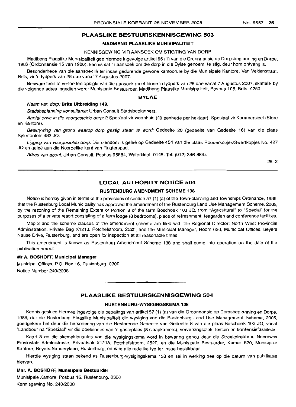## **PLAASLIKE BESTUURSKENNISGEWING** 503

#### MADIBENG PLAASLIKE MUNISIPALITEIT

#### KENNISGEWING VIR AANSOEK OM STIGTING VAN DORP

Madibeng Plaaslike Munisipaliteit gee hiermee ingevolge artikel96 (1) van die Ordonnansie op Dorpsbeplanning en Dorpe, 1986 (Ordonnansie 15 van 1986), kennis dat 'n aansoek om die dorp in die Bylae genoem, te stig, deur hom ontvang is.

Besonderhede van die aansoek lê ter insae gedurende gewone kantoorure by die Munisipale Kantore, Van Veldenstraat, Brits, vir 'n tydperk van 28 dae vanaf 7 Augustus 2007.

Besware teen of vertoe ten opsigte van die aansoek moet binne 'n tydperk van 28 dae vanaf 7 Augustus 2007, skriftelik by die volgende adres ingedien word: Munisipale Bestuurder, Madibeng Plaaslike Munisipaliteit, Posbus 106, Brits, 0250.

#### **BYLAE**

#### Naam van dorp: Brits Uitbreiding 149.

Stadsbeplanning konsultante: Urban Consult Stadsbeplanners.

Aantal erwe in die voorgestelde dorp: 2 Spesiaal vir woonhuis (30 eenhede per hektaar), Spesiaal vir Kommersieel (Store en Kantore).

Beskrywing van grond waarop dorp gestig staan te word: Gedeelte 20 (gedeelte van Gedeelte 16) van die plaas Syferfontein 483 JQ.

Ligging van voorgestelde dorp: Die eiendom is geleë op Gedeelte 454 van die plaas Rooderkopjes/Swartkopjes No. 427 JQ en geleë aan die Noordelike kant van Rugterspad.

Adres van agent: Urban Consult, Posbus 95884, Waterkloof, 0145. Tel: (012) 346-8844.

25-2

## **LOCAL AUTHORITY NOTICE** 504

#### RUSTENBURG AMENDMENT SCHEME 138

Notice is hereby given in terms of the provisions of section 57 (1) (a) of the Town-planning and Townships Ordinance, 1986, that the Rustenburg Local Municipality has approved the amendment of the Rustenburg Land Use Management Scheme, 2005, by the rezoning of the Remaining Extent of Portion 8 of the farm Boschoek 103 JQ, from "Agricultural" to "Special" for the purposes of a private resort consisting of a farm lodge (8 bedrooms), place of refreshment, teagarden and conference facilities.

Map 3 and the scheme clauses of the amendment scheme are filed with the Regional Director: North West Provincial Administration, Private Bag X1213, Potchefstroom, 2520, and the Municipal Manager, Room 620, Municipal Offices, Beyers Naude Drive, Rustenburg, and are open for inspection at all reasonable times.

This amendment is known as Rustenburg Amendment Scheme 138 and shall come into operation on the date of the publication hereof.

#### Mr A. BOSHOFF, Municipal Manager

Municipal Offices, P.O. Box 16, Rustenburg, 0300 Notice Number 240/2008

## **PLAASLIKE BESTUURSKENNISGEWING** 504

**••**

#### RUSTENBURG-WYSIGINGSKEMA 138

Kennis geskied hiermee ingevolge die bepalings van artikel 57 (1) (a) van die Ordonnansie op Dorpsbeplanning en Dorpe, 1986, dat die Rustenburg Plaaslike Munisipaliteit die wysiging van die Rustenburg Land Use Management Scheme, 2005, goedgekeur het deur die hersonering van die Resterende Gedeelte van Gedeelte 8 van die plaas Boschoek 103 JQ, vanaf "Landbou" na "Spesiaal" vir die doeleindes van 'n gasteplaas (8 slaapkamers), verversingsplek, teetuin en konfensiefasiliteite.

Kaart 3 en die skemaklousules van die wysigingskema word in bewaring gehou deur die Streekdirekteur, Noordwes Provinsiale Administrasie, Privaatsak X1213, Potchefstroom, 2520, en die Munisipale Bestuurder, Kamer 620, Munisipale Kantore, Beyers Nauderylaan, Rustenburg, en is te aile redelike tye ter insae beskikbaar.

Hierdie wysiging staan bekend as Rustenburg-wysigingskema 138 en sal in werking tree op die datum van publikasie hiervan.

#### Mnr. A. BOSHOFF, Munisipale Bestuurder

Munisipale Kantore, Posbus 16, Rustenburg, 0300 Kennisgewing No. 240/2008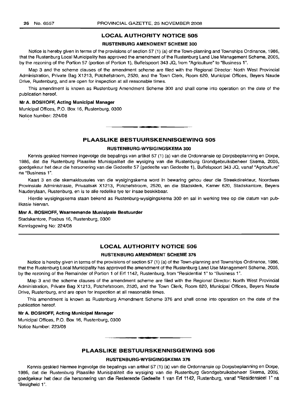#### LOCAL AUTHORITY NOTICE 505

## RUSTENBURG AMENDMENT SCHEME 300

Notice is hereby given in terms of the provisions of section 57 (1) (a) of the Town-planning and Townships Ordinance, 1986, that the Rustenburg Local Municipality has approved the amendment of the Rustenburg Land Use Management Scheme, 2005, by the rezoning of the Portion 57 (portion of Portion 1), Buffelspoort 343 JQ, from "Agriculture" to "Business 1".

Map 3 and the scheme clauses of the amendment scheme are filed with the Regional Director: North West Provincial Administration, Private Bag X1213, Potchefstroom, 2520, and the Town Clerk, Room 620, Municipal Offices, Beyers Naude Drive, Rustenburg, and are open for inspection at all reasonable times.

This amendment is known as Rustenburg Amendment Scheme 300 and shall come into operation on the date of the publication hereof.

#### Mr A. BOSHOFF, Acting Municipal Manager

Municipal Offices, P.O. Box 16, Rustenburg, 0300 Notice Number: 224/08

## PLAASLIKE BESTUURSKENNISGEWING 505

**•**

#### RUSTENBURG-WYSIGINGSKEMA 300

Kennis geskied hiermee ingevolge die bepalings van artikel 57 (1) (a) van die Ordonnansie op Dorpsbeplanning en Dorpe, 1986, dat die Rustenburg Plaaslike Munisipaliteit die wysiging van die Rustenburg Grondgebruiksbeheer Skema, 2005, goedgekeur het deur die hersonering van die Gedeelte 57 (gedeelte van Gedeelte 1), Buffelspoort 343 JQ, vanaf "Agriculture" na "Business 1".

Kaart 3 en die skemaklousules van die wysigingskema word in bewaring gehou deur die Streekdirekteur, Noordwes Provinsiale Administrasie, Privaatsak X1213, Potchefstroom, 2520, en die Stadsklerk, Kamer 620, Stadskantore, Beyers Nauderylaan, Rustenburg, en is te aile redelike tye ter insae beskikbaar.

Hierdie wysigingskema staan bekend as Rustenburg-wysigingskema 300 en sal in werking tree op die datum van pub-Iikasie hiervan.

#### Mnr A. BOSHOFF, Waarnemende Munisipale Bestuurder

Stadskantore, Posbus 16, Rustenburg, 0300 Kennisgewing No: 224/08

## LOCAL AUTHORITY NOTICE 506

#### RUSTENBURG AMENDMENT SCHEME 376

Notice is hereby given in terms of the provisions of section 57 (1) (a) of the Town-planning and Townships Ordinance, 1986, that the Rustenburg Local Municipality has approved the amendment of the Rustenburg Land Use Management Scheme, 2005, by the rezoning of the Remainder of Portion 1 of Erf 1142, Rustenburg, from "Residential 1" to "Business 1".

Map 3 and the scheme clauses of the amendment scheme are filed with the Regional Director: North West Provincial Administration, Private Bag X1213, Potchefstroom, 2520, and the Town Clerk, Room 620, Municipal Offices, Beyers Naude Drive, Rustenburg, and are open for inspection at all reasonable times.

This amendment is known as Rustenburg Amendment Scheme 376 and shall come into operation on the date of the publication hereof.

#### Mr A. BOSHOFF, Acting Municipal Manager

Municipal Offices, P.O. Box 16, Rustenburg, 0300 Notice Number: 223/08

## PLAASLIKE BESTUURSKENNISGEWING 506

**• •**

#### RUSTENBURG-WYSIGINGSKEMA 376

Kennis geskied hiermee ingevolge die bepalings van artikel 57 (1) (a) van die Ordonnansie op Dorpsbeplanning en Dorpe, 1986, dat die Rustenburg Plaaslike Munisipaliteit die wysiging van die Rustenburg Grondgebruiksbeheer Skema, 2005, goedgekeur het deur die hersonering van die Resterende Gedeelte 1 van Erf 1142, Rustenburg, vanaf "Residensieel 1" na "Besigheid 1".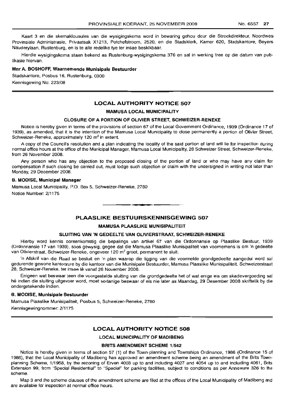Kaart 3 en die skemaklousules van die wysigingskema word in bewaring gehou deur die Streekdirekteur, Noordwes Provinsiale Administrasie, Privaatsak X1213, Potchefstroom, 2520, en die Stadsklerk, Kamer 620, Stadskantore, Beyers Nauderylaan, Rustenburg, en is te aile redelike tye ter insae beskikbaar.

Hierdie wysigingskema staan bekend as Rustenburg-wysigingskema 376 en sal in werking tree op die datum van publikasie hiervan.

#### **Mnr A. BOSHOFF, Waarnemende Munisipale Bestuurder**

Stadskantore, Posbus 16, Rustenburg, 0300 Kennisgewing No: 223/08

## **LOCAL AUTHORITY NOTICE 507**

#### **MAMUSA LOCAL MUNICIPALITY**

#### **CLOSURE OF A PORTION OF OLIVIER STREET, SCHWEIZER-RENEKE**

Notice is hereby given in terms of the provisions of section 67 of the Local Government Ordinance, 1939 (Ordinance 17 of 1939), as amended, that it is the intention of the Mamusa Local Municipality to close permanently a portion of Olivier Street, Schweizer-Reneke, approximately 120 m<sup>2</sup> in extent.

A copy of the Council's resolution and a plan indicating the locality of the said portion of land will lie for inspection during normal office hours at the office of the Municipal Manager, Mamusa Local Municipality, 28 Schweizer Street, Schweizer-Reneke, from 26 November 2008.

Any person who has any objection to the proposed closing of the portion of land or who may have any claim for compensation if such closing be carried out, must lodge such objection or claim with the undersigned in writing not later than Monday, 29 December 2008.

#### **B. MODISE, Municipal Manager**

Mamusa Local Municipality, P.O. Box 5, Schweizer-Reneke, 2780 Notice Number: 2/1175

## **PLAASLIKE BESTUURSKENNISGEWING 507**

**•**

#### **MAMUSA PLAASLIKE MUNISIPALITEIT**

#### **SLUITING VAN 'N GEDEELTE VAN OLiVIERSTRAAT, SCHWEIZER-RENEKE**

Hierby word kennis ooreenkomstig die bepalings van artikel 67 van die Ordonnansie op Plaaslike Bestuur, 1939 (Ordonnansie 17 van 1939), soos gewysig, gegee dat die Mamusa Plaaslike Munisipaliteit van voornemens is om 'n gedeelte van Olivierstraat, Schweizer-Reneke, ongeveer 120 m2 groot, permanent te sluit.

'n Afskrif van die Raad se besluit en 'n plan waarop die ligging van die voormelde grondgedeelte aangedui word sal gedurende gewone kantoorure by die kantoor van die Munisipale Bestuurder, Mamusa Plaaslike Munisipaliteit, Schweizerstraat 28, Schweizer-Reneke, ter insae lê vanaf 26 November 2008.

Enigeen wat beswaar teen die voorgestelde sluiting van die grondgedeelte het of wat enige eis om skadevergoeding sal he indien die sluiting uitgevoer word, moet sodanige beswaar of eis nie later as Maandag, 29 Desember 2008 skriftelik by die ondergetekende indien.

#### **B. MODISE, Munisipale Bestuurder**

Mamusa Plaaslike Munisipaliteit, Posbus 5, Schweizer-Beneke, 2780

Kennisgewingnommer: 2/1175

#### **LOCAL AUTHORITY NOTICE 508**

## **LOCAL MUNICIPALITY OF MADIBENG**

#### **BRITS AMENDMENT SCHEME** 1/542

Notice is hereby given in terms of section 57 (1) of the Town-planning and Townships Ordinance, 1986 (Ordinance 15 of 1986), that the Local Municipality of Madibeng has approved an amendment scheme being an amendment of the Brits Townplanning Scheme, 1/1958, by the rezoning of Erven 4003 up to and including 4027 and 4054 up to and including 4061, Brits Extension 99, from "Special Residential" to "Special" for parking facilities, subject to conditions as per Annexure 326 to the scheme.

Map 3 and the scheme clauses of the amendment scheme are filed at the offices of the Local Municipality of Madibeng and are available for inspection at normal office hours.